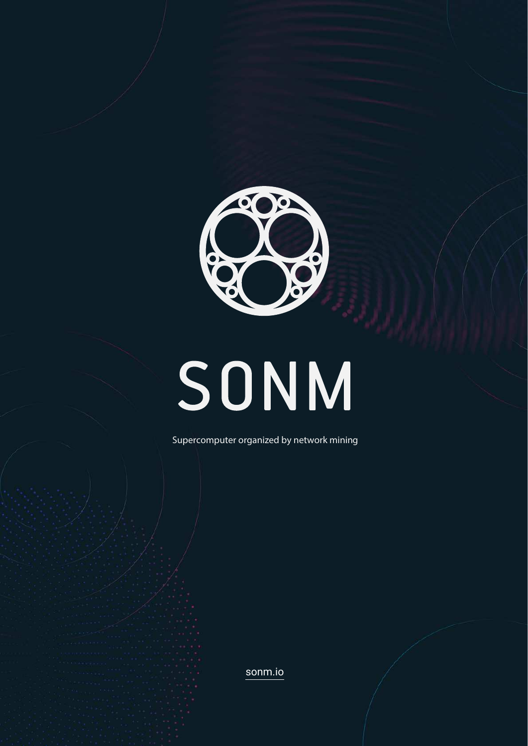

# SONM

Supercomputer organized by network mining

[sonm.io](https://sonm.io/)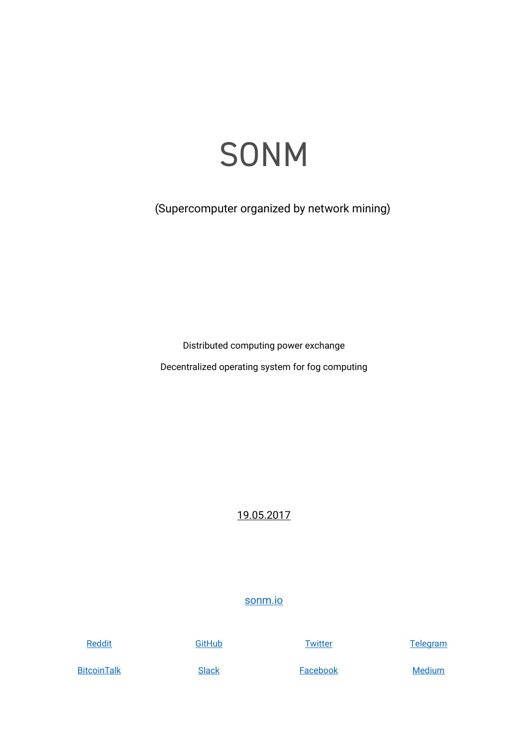## SONM

(Supercomputer organized by network mining)

Distributed computing power exchange

Decentralized operating system for fog computing

19.05.2017

### [sonm.io](http://sonm.io)

**Reddit** 

**GitHub** 

**Twitter** 

**Telegram** 

**BitcoinTalk** 

**Slack** 

**Facebook** 

**Medium**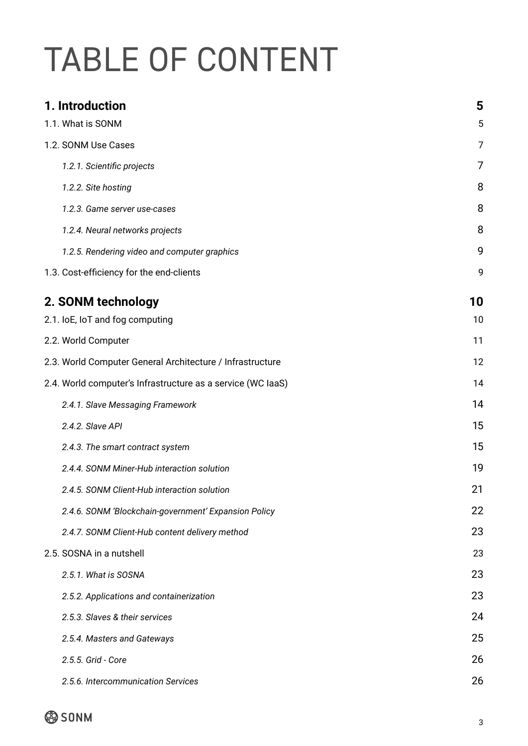# TABLE OF CONTENT

| 1. Introduction                                             | 5  |
|-------------------------------------------------------------|----|
| 1.1. What is SONM                                           | 5  |
| 1.2. SONM Use Cases                                         | 7  |
| 1.2.1. Scientific projects                                  | 7  |
| 1.2.2. Site hosting                                         | 8  |
| 1.2.3. Game server use-cases                                | 8  |
| 1.2.4. Neural networks projects                             | 8  |
| 1.2.5. Rendering video and computer graphics                | 9  |
| 1.3. Cost-efficiency for the end-clients                    | 9  |
| 2. SONM technology                                          | 10 |
| 2.1. loE, loT and fog computing                             | 10 |
| 2.2. World Computer                                         | 11 |
| 2.3. World Computer General Architecture / Infrastructure   | 12 |
| 2.4. World computer's Infrastructure as a service (WC laaS) | 14 |
| 2.4.1. Slave Messaging Framework                            | 14 |
| 2.4.2. Slave API                                            | 15 |
| 2.4.3. The smart contract system                            | 15 |
| 2.4.4. SONM Miner-Hub interaction solution                  | 19 |
| 2.4.5. SONM Client-Hub interaction solution                 | 21 |
| 2.4.6. SONM 'Blockchain-government' Expansion Policy        | 22 |
| 2.4.7. SONM Client-Hub content delivery method              | 23 |
| 2.5. SOSNA in a nutshell                                    | 23 |
| 2.5.1. What is SOSNA                                        | 23 |
| 2.5.2. Applications and containerization                    | 23 |
| 2.5.3. Slaves & their services                              | 24 |
| 2.5.4. Masters and Gateways                                 | 25 |
| 2.5.5. Grid - Core                                          | 26 |
| 2.5.6. Intercommunication Services                          | 26 |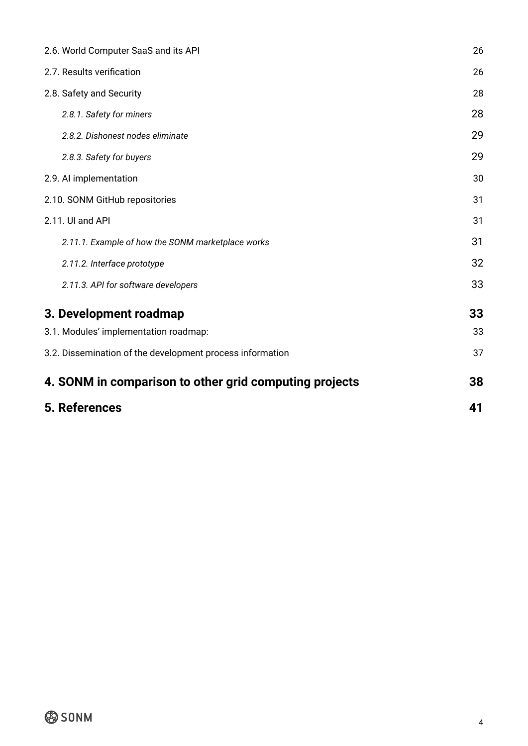| 2.6. World Computer SaaS and its API                      | 26 |
|-----------------------------------------------------------|----|
| 2.7. Results verification                                 | 26 |
| 2.8. Safety and Security                                  | 28 |
| 2.8.1. Safety for miners                                  | 28 |
| 2.8.2. Dishonest nodes eliminate                          | 29 |
| 2.8.3. Safety for buyers                                  | 29 |
| 2.9. Al implementation                                    | 30 |
| 2.10. SONM GitHub repositories                            | 31 |
| 2.11. UI and API                                          | 31 |
| 2.11.1. Example of how the SONM marketplace works         | 31 |
| 2.11.2. Interface prototype                               | 32 |
| 2.11.3. API for software developers                       | 33 |
| 3. Development roadmap                                    | 33 |
| 3.1. Modules' implementation roadmap:                     | 33 |
| 3.2. Dissemination of the development process information | 37 |
| 4. SONM in comparison to other grid computing projects    | 38 |
| 5. References                                             | 41 |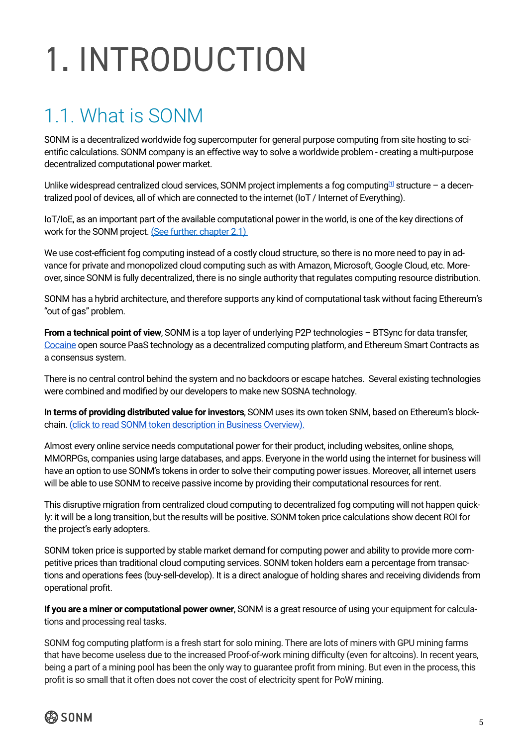# <span id="page-4-0"></span>1. INTRODUCTION

### 1.1. What is SONM

SONM is a decentralized worldwide fog supercomputer for general purpose computing from site hosting to scientific calculations. SONM company is an effective way to solve a worldwide problem - creating a multi-purpose decentralized computational power market.

Unlike widespread centralized cloud services, SONM project implements a fog computing<sup>[\[1\]](https://en.wikipedia.org/wiki/Fog_computing)</sup> structure – a decentralized pool of devices, all of which are connected to the internet (IoT / Internet of Everything).

IoT/IoE, as an important part of the available computational power in the world, is one of the key directions of work for the SONM project. (See further, chapter 2.1)

We use cost-efficient fog computing instead of a costly cloud structure, so there is no more need to pay in advance for private and monopolized cloud computing such as with Amazon, Microsoft, Google Cloud, etc. Moreover, since SONM is fully decentralized, there is no single authority that regulates computing resource distribution.

SONM has a hybrid architecture, and therefore supports any kind of computational task without facing Ethereum's "out of gas" problem.

**From a technical point of view**, SONM is a top layer of underlying P2P technologies – BTSync for data transfer, [Cocaine](https://tech.yandex.com/cocaine/) open source PaaS technology as a decentralized computing platform, and Ethereum Smart Contracts as a consensus system.

There is no central control behind the system and no backdoors or escape hatches. Several existing technologies were combined and modified by our developers to make new SOSNA technology.

**In terms of providing distributed value for investors**, SONM uses its own token SNM, based on Ethereum's blockchain. [\(click to read SONM token description in Business Overview\).](http://sonm.io/Sonm-BusinessOverview.pdf)

Almost every online service needs computational power for their product, including websites, online shops, MMORPGs, companies using large databases, and apps. Everyone in the world using the internet for business will have an option to use SONM's tokens in order to solve their computing power issues. Moreover, all internet users will be able to use SONM to receive passive income by providing their computational resources for rent.

This disruptive migration from centralized cloud computing to decentralized fog computing will not happen quickly: it will be a long transition, but the results will be positive. SONM token price calculations show decent ROI for the project's early adopters.

SONM token price is supported by stable market demand for computing power and ability to provide more competitive prices than traditional cloud computing services. SONM token holders earn a percentage from transactions and operations fees (buy-sell-develop). It is a direct analogue of holding shares and receiving dividends from operational profit.

**If you are a miner or computational power owner**, SONM is a great resource of using your equipment for calculations and processing real tasks.

SONM fog computing platform is a fresh start for solo mining. There are lots of miners with GPU mining farms that have become useless due to the increased Proof-of-work mining difficulty (even for altcoins). In recent years, being a part of a mining pool has been the only way to guarantee profit from mining. But even in the process, this profit is so small that it often does not cover the cost of electricity spent for PoW mining.

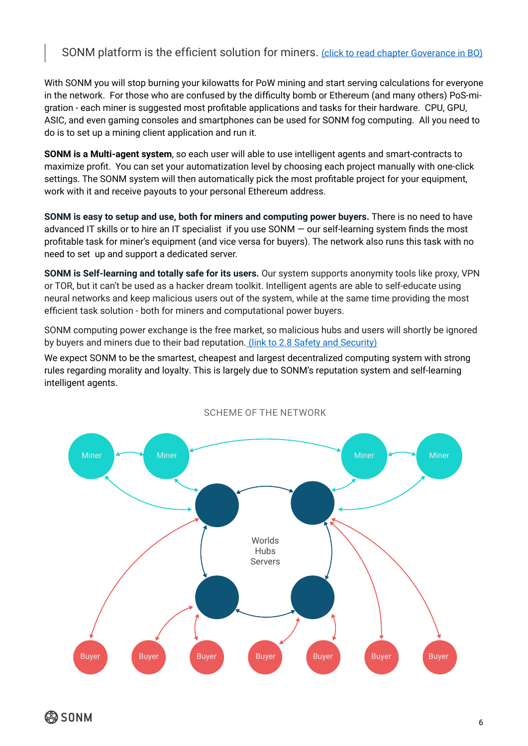### SONM platform is the efficient solution for miners. [\(click to read chapter Goverance in BO\)](http://sonm.io/Sonm-BusinessOverview.pdf)

With SONM you will stop burning your kilowatts for PoW mining and start serving calculations for everyone in the network. For those who are confused by the difficulty bomb or Ethereum (and many others) PoS-migration - each miner is suggested most profitable applications and tasks for their hardware. CPU, GPU, ASIC, and even gaming consoles and smartphones can be used for SONM fog computing. All you need to do is to set up a mining client application and run it.

**SONM is a Multi-agent system**, so each user will able to use intelligent agents and smart-contracts to maximize profit. You can set your automatization level by choosing each project manually with one-click settings. The SONM system will then automatically pick the most profitable project for your equipment, work with it and receive payouts to your personal Ethereum address.

**SONM is easy to setup and use, both for miners and computing power buyers.** There is no need to have advanced IT skills or to hire an IT specialist if you use SONM — our self-learning system finds the most profitable task for miner's equipment (and vice versa for buyers). The network also runs this task with no need to set up and support a dedicated server.

**SONM is Self-learning and totally safe for its users.** Our system supports anonymity tools like proxy, VPN or TOR, but it can't be used as a hacker dream toolkit. Intelligent agents are able to self-educate using neural networks and keep malicious users out of the system, while at the same time providing the most efficient task solution - both for miners and computational power buyers.

SONM computing power exchange is the free market, so malicious hubs and users will shortly be ignored by buyers and miners due to their bad reputation. [\(link to 2.8 Safety and Security\)](#page-27-0)

We expect SONM to be the smartest, cheapest and largest decentralized computing system with strong rules regarding morality and loyalty. This is largely due to SONM's reputation system and self-learning intelligent agents.



#### SCHEME OF THE NETWORK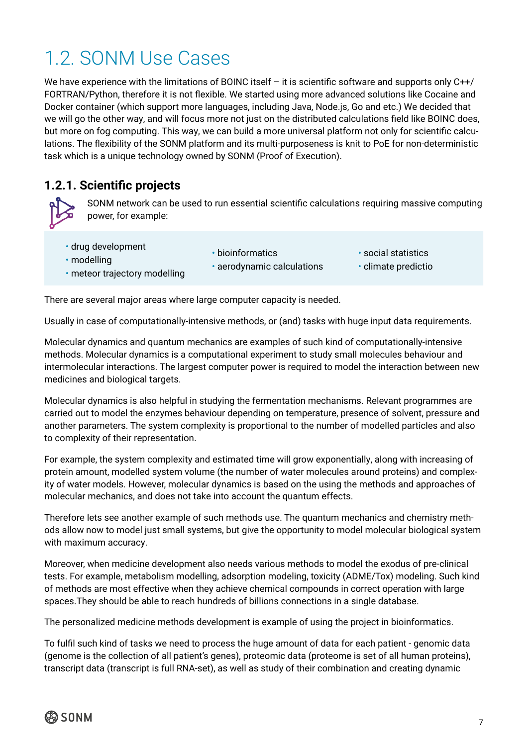### <span id="page-6-0"></span>1.2. SONM Use Cases

We have experience with the limitations of BOINC itself - it is scientific software and supports only C++/ FORTRAN/Python, therefore it is not flexible. We started using more advanced solutions like Cocaine and Docker container (which support more languages, including Java, Node.js, Go and etc.) We decided that we will go the other way, and will focus more not just on the distributed calculations field like BOINC does, but more on fog computing. This way, we can build a more universal platform not only for scientific calculations. The flexibility of the SONM platform and its multi-purposeness is knit to PoE for non-deterministic task which is a unique technology owned by SONM (Proof of Execution).

### **1.2.1. Scientific projects**

SONM network can be used to run essential scientific calculations requiring massive computing power, for example:

- drug development
- modelling

• bioinformatics

• aerodynamic calculations

- social statistics
- climate predictio

• meteor trajectory modelling

There are several major areas where large computer capacity is needed.

Usually in case of computationally-intensive methods, or (and) tasks with huge input data requirements.

Molecular dynamics and quantum mechanics are examples of such kind of computationally-intensive methods. Molecular dynamics is a computational experiment to study small molecules behaviour and intermolecular interactions. The largest computer power is required to model the interaction between new medicines and biological targets.

Molecular dynamics is also helpful in studying the fermentation mechanisms. Relevant programmes are carried out to model the enzymes behaviour depending on temperature, presence of solvent, pressure and another parameters. The system complexity is proportional to the number of modelled particles and also to complexity of their representation.

For example, the system complexity and estimated time will grow exponentially, along with increasing of protein amount, modelled system volume (the number of water molecules around proteins) and complexity of water models. However, molecular dynamics is based on the using the methods and approaches of molecular mechanics, and does not take into account the quantum effects.

Therefore lets see another example of such methods use. The quantum mechanics and chemistry methods allow now to model just small systems, but give the opportunity to model molecular biological system with maximum accuracy.

Moreover, when medicine development also needs various methods to model the exodus of pre-clinical tests. For example, metabolism modelling, adsorption modeling, toxicity (ADME/Tox) modeling. Such kind of methods are most effective when they achieve chemical compounds in correct operation with large spaces.They should be able to reach hundreds of billions connections in a single database.

The personalized medicine methods development is example of using the project in bioinformatics.

To fulfil such kind of tasks we need to process the huge amount of data for each patient - genomic data (genome is the collection of all patient's genes), proteomic data (proteome is set of all human proteins), transcript data (transcript is full RNA-set), as well as study of their combination and creating dynamic

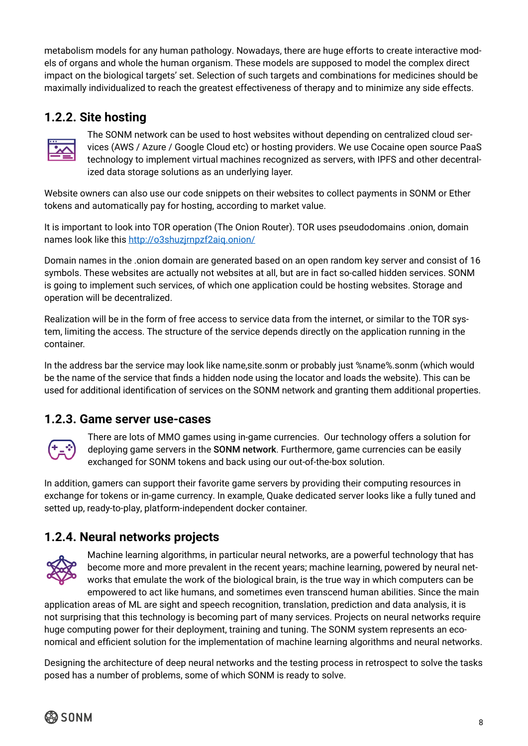<span id="page-7-0"></span>metabolism models for any human pathology. Nowadays, there are huge efforts to create interactive models of organs and whole the human organism. These models are supposed to model the complex direct impact on the biological targets' set. Selection of such targets and combinations for medicines should be maximally individualized to reach the greatest effectiveness of therapy and to minimize any side effects.

### **1.2.2. Site hosting**



The SONM network can be used to host websites without depending on centralized cloud services (AWS / Azure / Google Cloud etc) or hosting providers. We use Cocaine open source PaaS technology to implement virtual machines recognized as servers, with IPFS and other decentralized data storage solutions as an underlying layer.

Website owners can also use our code snippets on their websites to collect payments in SONM or Ether tokens and automatically pay for hosting, according to market value.

It is important to look into TOR operation (The Onion Router). TOR uses pseudodomains .onion, domain names look like this<http://o3shuzjrnpzf2aiq.onion/>

Domain names in the .onion domain are generated based on an open random key server and consist of 16 symbols. These websites are actually not websites at all, but are in fact so-called hidden services. SONM is going to implement such services, of which one application could be hosting websites. Storage and operation will be decentralized.

Realization will be in the form of free access to service data from the internet, or similar to the TOR system, limiting the access. The structure of the service depends directly on the application running in the container.

In the address bar the service may look like name,site.sonm or probably just %name%.sonm (which would be the name of the service that finds a hidden node using the locator and loads the website). This can be used for additional identification of services on the SONM network and granting them additional properties.

### **1.2.3. Game server use-cases**



There are lots of MMO games using in-game currencies. Our technology offers a solution for deploying game servers in the SONM network. Furthermore, game currencies can be easily exchanged for SONM tokens and back using our out-of-the-box solution.

In addition, gamers can support their favorite game servers by providing their computing resources in exchange for tokens or in-game currency. In example, Quake dedicated server looks like a fully tuned and setted up, ready-to-play, platform-independent docker container.

### **1.2.4. Neural networks projects**



Machine learning algorithms, in particular neural networks, are a powerful technology that has become more and more prevalent in the recent years; machine learning, powered by neural networks that emulate the work of the biological brain, is the true way in which computers can be empowered to act like humans, and sometimes even transcend human abilities. Since the main

application areas of ML are sight and speech recognition, translation, prediction and data analysis, it is not surprising that this technology is becoming part of many services. Projects on neural networks require huge computing power for their deployment, training and tuning. The SONM system represents an economical and efficient solution for the implementation of machine learning algorithms and neural networks.

Designing the architecture of deep neural networks and the testing process in retrospect to solve the tasks posed has a number of problems, some of which SONM is ready to solve.

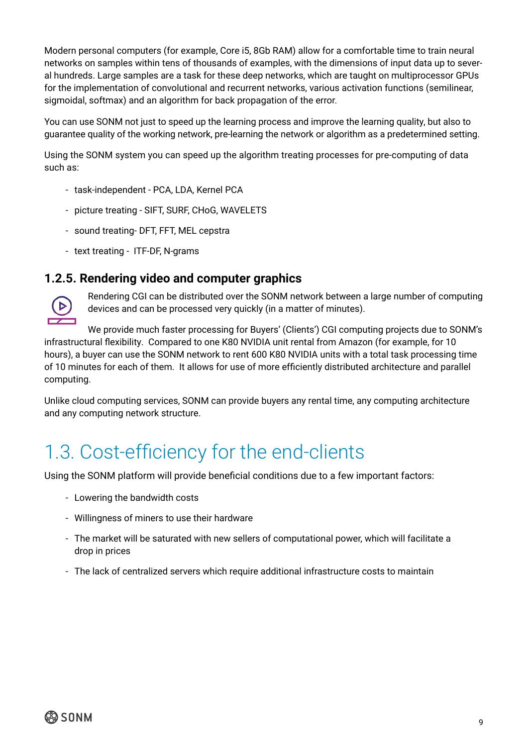<span id="page-8-0"></span>Modern personal computers (for example, Core i5, 8Gb RAM) allow for a comfortable time to train neural networks on samples within tens of thousands of examples, with the dimensions of input data up to several hundreds. Large samples are a task for these deep networks, which are taught on multiprocessor GPUs for the implementation of convolutional and recurrent networks, various activation functions (semilinear, sigmoidal, softmax) and an algorithm for back propagation of the error.

You can use SONM not just to speed up the learning process and improve the learning quality, but also to guarantee quality of the working network, pre-learning the network or algorithm as a predetermined setting.

Using the SONM system you can speed up the algorithm treating processes for pre-computing of data such as:

- task-independent PCA, LDA, Kernel PCA
- picture treating SIFT, SURF, CHoG, WAVELETS
- sound treating- DFT, FFT, MEL cepstra
- text treating ITF-DF, N-grams

### **1.2.5. Rendering video and computer graphics**



Rendering CGI can be distributed over the SONM network between a large number of computing devices and can be processed very quickly (in a matter of minutes).

We provide much faster processing for Buyers' (Clients') CGI computing projects due to SONM's infrastructural flexibility. Compared to one K80 NVIDIA unit rental from Amazon (for example, for 10 hours), a buyer can use the SONM network to rent 600 K80 NVIDIA units with a total task processing time of 10 minutes for each of them. It allows for use of more efficiently distributed architecture and parallel computing.

Unlike cloud computing services, SONM can provide buyers any rental time, any computing architecture and any computing network structure.

### 1.3. Cost-efficiency for the end-clients

Using the SONM platform will provide beneficial conditions due to a few important factors:

- Lowering the bandwidth costs
- Willingness of miners to use their hardware
- The market will be saturated with new sellers of computational power, which will facilitate a drop in prices
- The lack of centralized servers which require additional infrastructure costs to maintain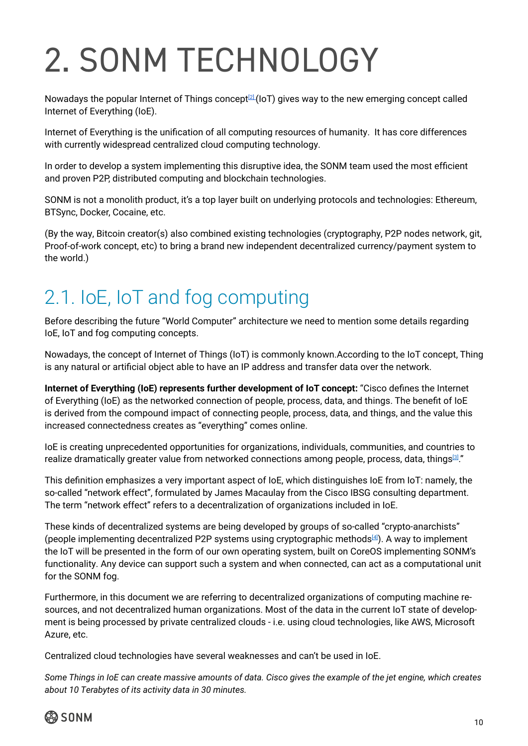# <span id="page-9-0"></span>2. SONM TECHNOLOGY

Nowadays the popular Internet of Things concept<sup>[2]</sup> (IoT) gives way to the new emerging concept called Internet of Everything (IoE).

Internet of Everything is the unification of all computing resources of humanity. It has core differences with currently widespread centralized cloud computing technology.

In order to develop a system implementing this disruptive idea, the SONM team used the most efficient and proven P2P, distributed computing and blockchain technologies.

SONM is not a monolith product, it's a top layer built on underlying protocols and technologies: Ethereum, BTSync, Docker, Cocaine, etc.

(By the way, Bitcoin creator(s) also combined existing technologies (cryptography, P2P nodes network, git, Proof-of-work concept, etc) to bring a brand new independent decentralized currency/payment system to the world.)

### 2.1. IoE, IoT and fog computing

Before describing the future "World Computer" architecture we need to mention some details regarding IoE, IoT and fog computing concepts.

Nowadays, the concept of Internet of Things (IoT) is commonly known.According to the IoT concept, Thing is any natural or artificial object able to have an IP address and transfer data over the network.

**Internet of Everything (IoE) represents further development of IoT concept:** "Cisco defines the Internet of Everything (IoE) as the networked connection of people, process, data, and things. The benefit of IoE is derived from the compound impact of connecting people, process, data, and things, and the value this increased connectedness creates as "everything" comes online.

IoE is creating unprecedented opportunities for organizations, individuals, communities, and countries to realize dramatically greater value from networked connections among people, process, data, things<sup>[\[3\]](http://internetofeverything.cisco.com/sites/default/files/docs/en/ioe_value_at_stake_public_sector%20_analysis_faq_121913final.pdf)</sup>."

This definition emphasizes a very important aspect of IoE, which distinguishes IoE from IoT: namely, the so-called "network effect", formulated by James Macaulay from the Cisco IBSG consulting department. The term "network effect" refers to a decentralization of organizations included in IoE.

These kinds of decentralized systems are being developed by groups of so-called "crypto-anarchists" (people implementing decentralized P2P systems using cryptographic methods $[4]$ ). A way to implement the IoT will be presented in the form of our own operating system, built on CoreOS implementing SONM's functionality. Any device can support such a system and when connected, can act as a computational unit for the SONM fog.

Furthermore, in this document we are referring to decentralized organizations of computing machine resources, and not decentralized human organizations. Most of the data in the current IoT state of development is being processed by private centralized clouds - i.e. using cloud technologies, like AWS, Microsoft Azure, etc.

Centralized cloud technologies have several weaknesses and can't be used in IoE.

*Some Things in IoE can create massive amounts of data. Cisco gives the example of the jet engine, which creates about 10 Terabytes of its activity data in 30 minutes.*

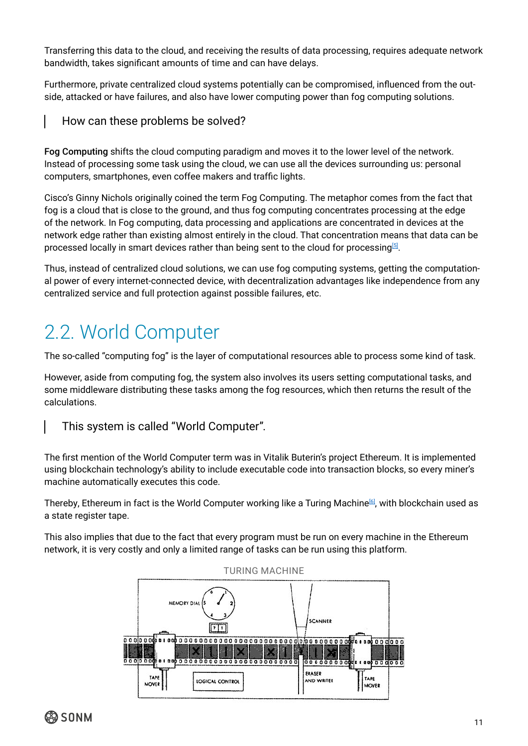<span id="page-10-0"></span>Transferring this data to the cloud, and receiving the results of data processing, requires adequate network bandwidth, takes significant amounts of time and can have delays.

Furthermore, private centralized cloud systems potentially can be compromised, influenced from the outside, attacked or have failures, and also have lower computing power than fog computing solutions.

### How can these problems be solved?

Fog Computing shifts the cloud computing paradigm and moves it to the lower level of the network. Instead of processing some task using the cloud, we can use all the devices surrounding us: personal computers, smartphones, even coffee makers and traffic lights.

Cisco's Ginny Nichols originally coined the term Fog Computing. The metaphor comes from the fact that fog is a cloud that is close to the ground, and thus fog computing concentrates processing at the edge of the network. In Fog computing, data processing and applications are concentrated in devices at the network edge rather than existing almost entirely in the cloud. That concentration means that data can be processed locally in smart devices rather than being sent to the cloud for processing $^{\text{\tiny{\textregistered}}}$ .

Thus, instead of centralized cloud solutions, we can use fog computing systems, getting the computational power of every internet-connected device, with decentralization advantages like independence from any centralized service and full protection against possible failures, etc.

### 2.2. World Computer

The so-called "computing fog" is the layer of computational resources able to process some kind of task.

However, aside from computing fog, the system also involves its users setting computational tasks, and some middleware distributing these tasks among the fog resources, which then returns the result of the calculations.

### This system is called "World Computer".

The first mention of the World Computer term was in Vitalik Buterin's project Ethereum. It is implemented using blockchain technology's ability to include executable code into transaction blocks, so every miner's machine automatically executes this code.

Thereby, Ethereum in fact is the World Computer working like a Turing Machine<sup>[\[6\]](https://en.wikipedia.org/wiki/Turing_machine)</sup>, with blockchain used as a state register tape.

This also implies that due to the fact that every program must be run on every machine in the Ethereum network, it is very costly and only a limited range of tasks can be run using this platform.

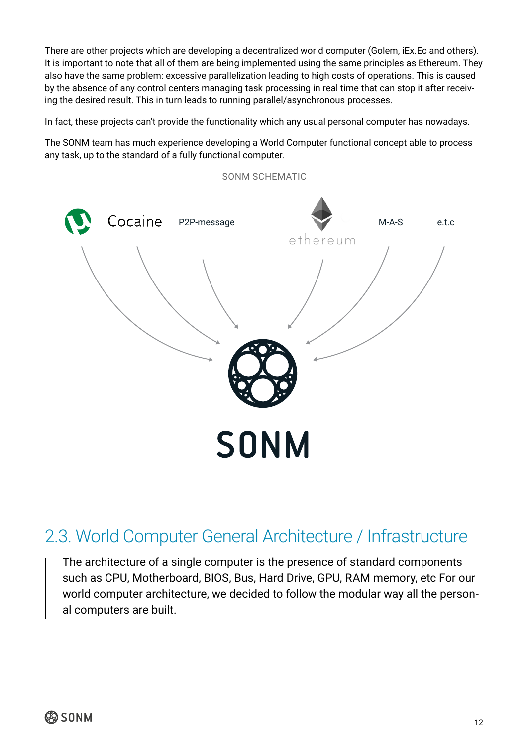<span id="page-11-0"></span>There are other projects which are developing a decentralized world computer (Golem, iEx.Ec and others). It is important to note that all of them are being implemented using the same principles as Ethereum. They also have the same problem: excessive parallelization leading to high costs of operations. This is caused by the absence of any control centers managing task processing in real time that can stop it after receiving the desired result. This in turn leads to running parallel/asynchronous processes.

In fact, these projects can't provide the functionality which any usual personal computer has nowadays.

The SONM team has much experience developing a World Computer functional concept able to process any task, up to the standard of a fully functional computer.



### 2.3. World Computer General Architecture / Infrastructure

The architecture of a single computer is the presence of standard components such as CPU, Motherboard, BIOS, Bus, Hard Drive, GPU, RAM memory, etc For our world computer architecture, we decided to follow the modular way all the personal computers are built.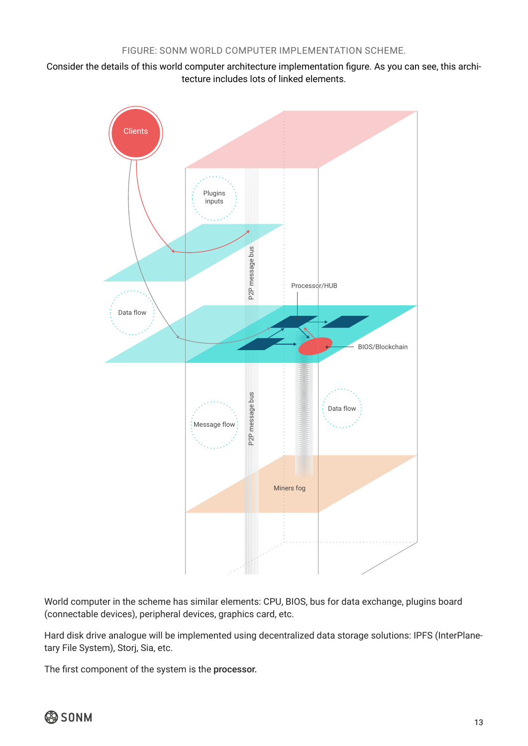Consider the details of this world computer architecture implementation figure. As you can see, this architecture includes lots of linked elements.



World computer in the scheme has similar elements: CPU, BIOS, bus for data exchange, plugins board (connectable devices), peripheral devices, graphics card, etc.

Hard disk drive analogue will be implemented using decentralized data storage solutions: IPFS (InterPlanetary File System), Storj, Sia, etc.

The first component of the system is the processor.

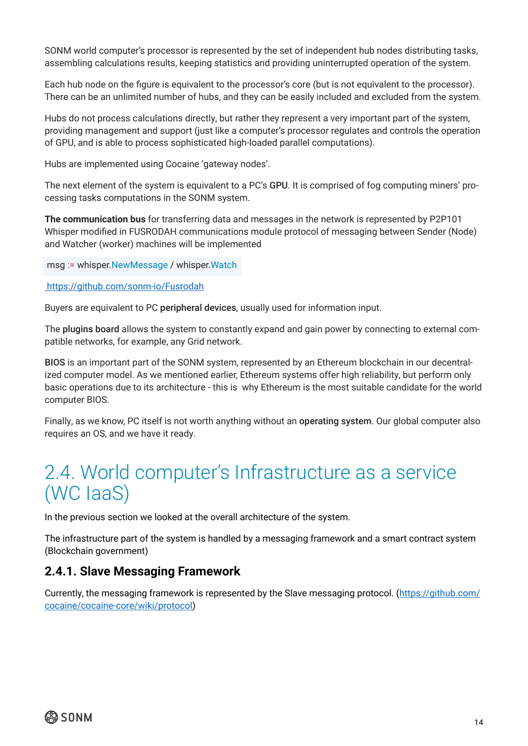<span id="page-13-0"></span>SONM world computer's processor is represented by the set of independent hub nodes distributing tasks, assembling calculations results, keeping statistics and providing uninterrupted operation of the system.

Each hub node on the figure is equivalent to the processor's core (but is not equivalent to the processor). There can be an unlimited number of hubs, and they can be easily included and excluded from the system.

Hubs do not process calculations directly, but rather they represent a very important part of the system, providing management and support (just like a computer's processor regulates and controls the operation of GPU, and is able to process sophisticated high-loaded parallel computations).

Hubs are implemented using Cocaine 'gateway nodes'.

The next element of the system is equivalent to a PC's GPU. It is comprised of fog computing miners' processing tasks computations in the SONM system.

**The communication bus** for transferring data and messages in the network is represented by P2P101 Whisper modified in FUSRODAH communications module protocol of messaging between Sender (Node) and Watcher (worker) machines will be implemented

msg := whisper.NewMessage / whisper.Watch

#### [https://github.com/sonm-io/Fusrodah]( https://github.com/sonm-io/Fusrodah)

Buyers are equivalent to PC peripheral devices, usually used for information input.

The plugins board allows the system to constantly expand and gain power by connecting to external compatible networks, for example, any Grid network.

BIOS is an important part of the SONM system, represented by an Ethereum blockchain in our decentralized computer model. As we mentioned earlier, Ethereum systems offer high reliability, but perform only basic operations due to its architecture - this is why Ethereum is the most suitable candidate for the world computer BIOS.

Finally, as we know, PC itself is not worth anything without an operating system. Our global computer also requires an OS, and we have it ready.

### 2.4. World computer's Infrastructure as a service (WC IaaS)

In the previous section we looked at the overall architecture of the system.

The infrastructure part of the system is handled by a messaging framework and a smart contract system (Blockchain government)

### **2.4.1. Slave Messaging Framework**

Currently, the messaging framework is represented by the Slave messaging protocol. [\(https://github.com/](https://github.com/cocaine/cocaine-core/wiki/protocol) [cocaine/cocaine-core/wiki/protocol](https://github.com/cocaine/cocaine-core/wiki/protocol))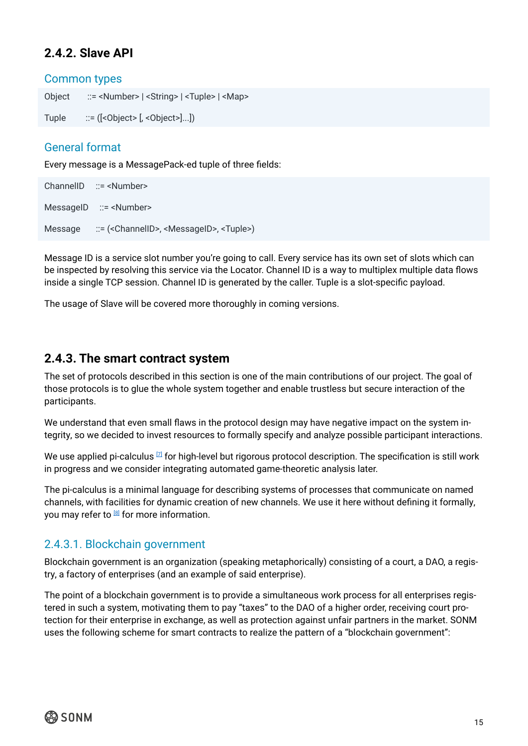### <span id="page-14-0"></span>**2.4.2. Slave API**

### Common types

Object ::= <Number> | <String> | <Tuple> | <Map>

Tuple  $::= ([-\text{Object} > [,-\text{Object} > [...])$ 

### General format

Every message is a MessagePack-ed tuple of three fields:

ChannelID ::= <Number> MessageID ::= <Number> Message ::= (<ChannelID>, <MessageID>, <Tuple>)

Message ID is a service slot number you're going to call. Every service has its own set of slots which can be inspected by resolving this service via the Locator. Channel ID is a way to multiplex multiple data flows inside a single TCP session. Channel ID is generated by the caller. Tuple is a slot-specific payload.

The usage of Slave will be covered more thoroughly in coming versions.

### **2.4.3. The smart contract system**

The set of protocols described in this section is one of the main contributions of our project. The goal of those protocols is to glue the whole system together and enable trustless but secure interaction of the participants.

We understand that even small flaws in the protocol design may have negative impact on the system integrity, so we decided to invest resources to formally specify and analyze possible participant interactions.

We use applied pi-calculus  $[7]$  for high-level but rigorous protocol description. The specification is still work in progress and we consider integrating automated game-theoretic analysis later.

The pi-calculus is a minimal language for describing systems of processes that communicate on named channels, with facilities for dynamic creation of new channels. We use it here without defining it formally, you may refer to  $[8]$  for more information.

### 2.4.3.1. Blockchain government

Blockchain government is an organization (speaking metaphorically) consisting of a court, a DAO, a registry, a factory of enterprises (and an example of said enterprise).

The point of a blockchain government is to provide a simultaneous work process for all enterprises registered in such a system, motivating them to pay "taxes" to the DAO of a higher order, receiving court protection for their enterprise in exchange, as well as protection against unfair partners in the market. SONM uses the following scheme for smart contracts to realize the pattern of a "blockchain government":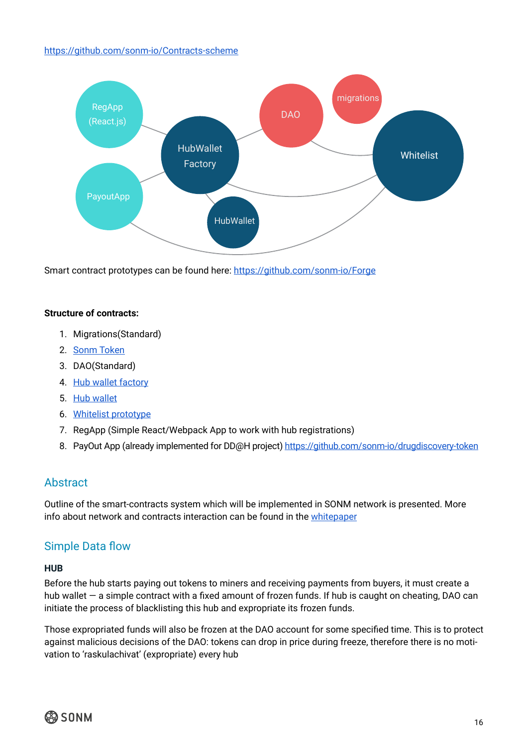#### <https://github.com/sonm-io/Contracts-scheme>



Smart contract prototypes can be found here: <https://github.com/sonm-io/Forge>

### **Structure of contracts:**

- 1. Migrations(Standard)
- 2. [Sonm Token](https://github.com/sonm-io/token)
- 3. DAO(Standard)
- 4. [Hub wallet factory](https://github.com/sonm-io/Forge/blob/master/contracts/Hubs/HubFactory.sol)
- 5. [Hub wallet](https://github.com/sonm-io/Smart-dummy/tree/master/contracts/Hubs)
- 6. [Whitelist prototype](https://github.com/sonm-io/Forge/tree/master/contracts/Whitelist)
- 7. RegApp (Simple React/Webpack App to work with hub registrations)
- 8. PayOut App (already implemented for DD@H project)<https://github.com/sonm-io/drugdiscovery-token>

### **Abstract**

Outline of the smart-contracts system which will be implemented in SONM network is presented. More info about network and contracts interaction can be found in the [whitepaper](http://sonm.io/Sonm1.pdf)

### Simple Data flow

#### **HUB**

Before the hub starts paying out tokens to miners and receiving payments from buyers, it must create a hub wallet – a simple contract with a fixed amount of frozen funds. If hub is caught on cheating, DAO can initiate the process of blacklisting this hub and expropriate its frozen funds.

Those expropriated funds will also be frozen at the DAO account for some specified time. This is to protect against malicious decisions of the DAO: tokens can drop in price during freeze, therefore there is no motivation to 'raskulachivat' (expropriate) every hub

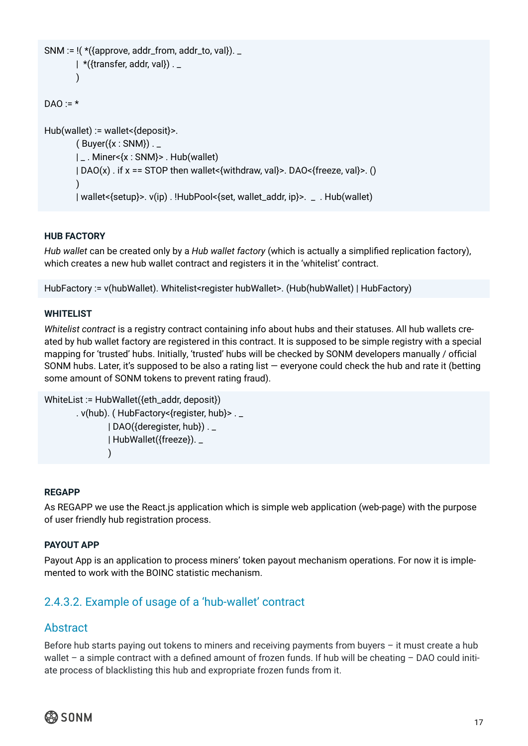```
SNM := \frac{1}{x} ({approve, addr_from, addr_to, val}). _
        | *({transfer, addr, val}).
\qquad \qquadDAO = *Hub(wallet) := wallet<{deposit}>.
        (Buver(\{x: \text{SNM}\}).
         | _ . Miner<{x : SNM}> . Hub(wallet)
         | DAO(x) . if x == STOP then wallet<{withdraw, val}>. DAO<{freeze, val}>. ()
\qquad \qquad | wallet<{setup}>. ν(ip) . !HubPool<{set, wallet_addr, ip}>. _ . Hub(wallet)
```
### **HUB FACTORY**

*Hub wallet* can be created only by a *Hub wallet factory* (which is actually a simplified replication factory), which creates a new hub wallet contract and registers it in the 'whitelist' contract.

HubFactory := ν(hubWallet). Whitelist<register hubWallet>. (Hub(hubWallet) | HubFactory)

#### **WHITELIST**

*Whitelist contract* is a registry contract containing info about hubs and their statuses. All hub wallets created by hub wallet factory are registered in this contract. It is supposed to be simple registry with a special mapping for 'trusted' hubs. Initially, 'trusted' hubs will be checked by SONM developers manually / official SONM hubs. Later, it's supposed to be also a rating list — everyone could check the hub and rate it (betting some amount of SONM tokens to prevent rating fraud).

```
WhiteList := HubWallet({eth_addr, deposit})
          . ν(hub). ( HubFactory<{register, hub}> . _
                   | DAO({deregister, hub}) . _
                   | HubWallet({freeze}). _
) and the state \mathcal{L}(\mathcal{A})
```
#### **REGAPP**

As REGAPP we use the React.js application which is simple web application (web-page) with the purpose of user friendly hub registration process.

#### **PAYOUT APP**

Payout App is an application to process miners' token payout mechanism operations. For now it is implemented to work with the BOINC statistic mechanism.

### 2.4.3.2. Example of usage of a 'hub-wallet' contract

### Abstract

Before hub starts paying out tokens to miners and receiving payments from buyers – it must create a hub wallet – a simple contract with a defined amount of frozen funds. If hub will be cheating – DAO could initiate process of blacklisting this hub and expropriate frozen funds from it.

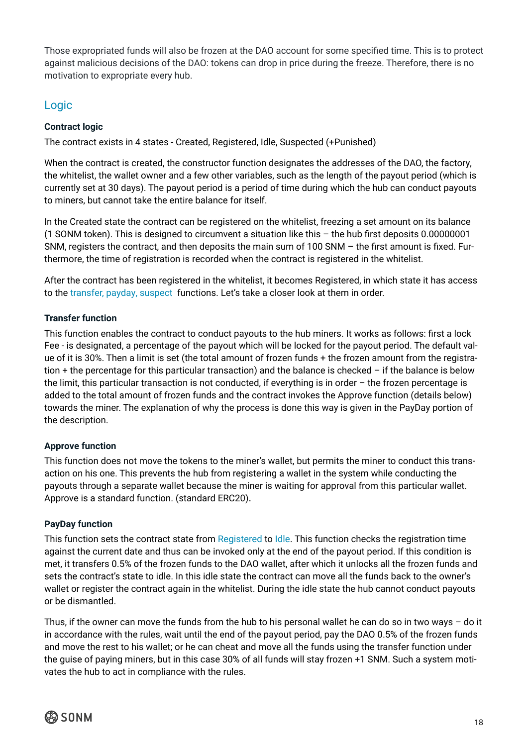Those expropriated funds will also be frozen at the DAO account for some specified time. This is to protect against malicious decisions of the DAO: tokens can drop in price during the freeze. Therefore, there is no motivation to expropriate every hub.

### Logic

### **Contract logic**

The contract exists in 4 states - Created, Registered, Idle, Suspected (+Punished)

When the contract is created, the constructor function designates the addresses of the DAO, the factory, the whitelist, the wallet owner and a few other variables, such as the length of the payout period (which is currently set at 30 days). The payout period is a period of time during which the hub can conduct payouts to miners, but cannot take the entire balance for itself.

In the Created state the contract can be registered on the whitelist, freezing a set amount on its balance (1 SONM token). This is designed to circumvent a situation like this – the hub first deposits 0.00000001 SNM, registers the contract, and then deposits the main sum of 100 SNM – the first amount is fixed. Furthermore, the time of registration is recorded when the contract is registered in the whitelist.

After the contract has been registered in the whitelist, it becomes Registered, in which state it has access to the transfer, payday, suspect functions. Let's take a closer look at them in order.

### **Transfer function**

This function enables the contract to conduct payouts to the hub miners. It works as follows: first a lock Fee - is designated, a percentage of the payout which will be locked for the payout period. The default value of it is 30%. Then a limit is set (the total amount of frozen funds + the frozen amount from the registration + the percentage for this particular transaction) and the balance is checked – if the balance is below the limit, this particular transaction is not conducted, if everything is in order – the frozen percentage is added to the total amount of frozen funds and the contract invokes the Approve function (details below) towards the miner. The explanation of why the process is done this way is given in the PayDay portion of the description.

### **Approve function**

This function does not move the tokens to the miner's wallet, but permits the miner to conduct this transaction on his one. This prevents the hub from registering a wallet in the system while conducting the payouts through a separate wallet because the miner is waiting for approval from this particular wallet. Approve is a standard function. (standard ERC20).

### **PayDay function**

This function sets the contract state from Registered to Idle. This function checks the registration time against the current date and thus can be invoked only at the end of the payout period. If this condition is met, it transfers 0.5% of the frozen funds to the DAO wallet, after which it unlocks all the frozen funds and sets the contract's state to idle. In this idle state the contract can move all the funds back to the owner's wallet or register the contract again in the whitelist. During the idle state the hub cannot conduct payouts or be dismantled.

Thus, if the owner can move the funds from the hub to his personal wallet he can do so in two ways – do it in accordance with the rules, wait until the end of the payout period, pay the DAO 0.5% of the frozen funds and move the rest to his wallet; or he can cheat and move all the funds using the transfer function under the guise of paying miners, but in this case 30% of all funds will stay frozen +1 SNM. Such a system motivates the hub to act in compliance with the rules.

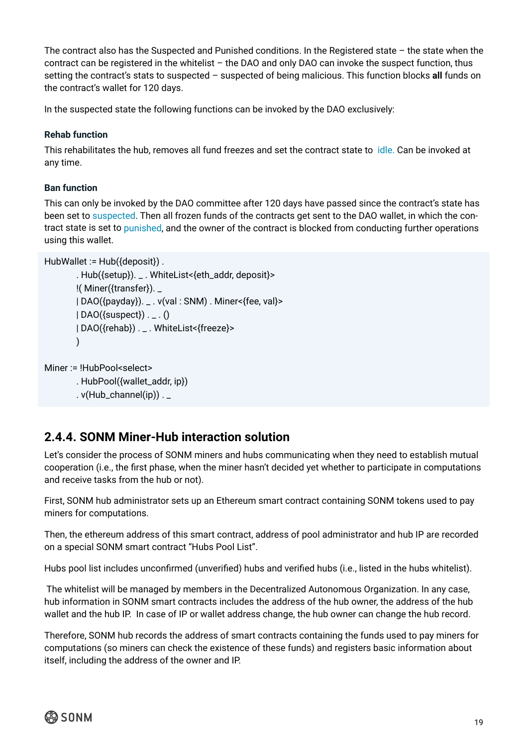<span id="page-18-0"></span>The contract also has the Suspected and Punished conditions. In the Registered state – the state when the contract can be registered in the whitelist – the DAO and only DAO can invoke the suspect function, thus setting the contract's stats to suspected – suspected of being malicious. This function blocks **all** funds on the contract's wallet for 120 days.

In the suspected state the following functions can be invoked by the DAO exclusively:

### **Rehab function**

This rehabilitates the hub, removes all fund freezes and set the contract state to idle. Can be invoked at any time.

### **Ban function**

This can only be invoked by the DAO committee after 120 days have passed since the contract's state has been set to suspected. Then all frozen funds of the contracts get sent to the DAO wallet, in which the contract state is set to punished, and the owner of the contract is blocked from conducting further operations using this wallet.

```
HubWallet := Hub({deposit}).
```

```
 . Hub({setup}). _ . WhiteList<{eth_addr, deposit}>
 !( Miner({transfer}). _
 | DAO({payday}). _ . ν(val : SNM) . Miner<{fee, val}>
| DAO({suspect}) . \_ \. ()
 | DAO({rehab}) . _ . WhiteList<{freeze}>
 )
```

```
Miner := !HubPool<select>
```

```
 . HubPool({wallet_addr, ip})
```

```
. v(Hub_{channel}(ip)).
```
### **2.4.4. SONM Miner-Hub interaction solution**

Let's consider the process of SONM miners and hubs communicating when they need to establish mutual cooperation (i.e., the first phase, when the miner hasn't decided yet whether to participate in computations and receive tasks from the hub or not).

First, SONM hub administrator sets up an Ethereum smart contract containing SONM tokens used to pay miners for computations.

Then, the ethereum address of this smart contract, address of pool administrator and hub IP are recorded on a special SONM smart contract "Hubs Pool List".

Hubs pool list includes unconfirmed (unverified) hubs and verified hubs (i.e., listed in the hubs whitelist).

 The whitelist will be managed by members in the Decentralized Autonomous Organization. In any case, hub information in SONM smart contracts includes the address of the hub owner, the address of the hub wallet and the hub IP. In case of IP or wallet address change, the hub owner can change the hub record.

Therefore, SONM hub records the address of smart contracts containing the funds used to pay miners for computations (so miners can check the existence of these funds) and registers basic information about itself, including the address of the owner and IP.

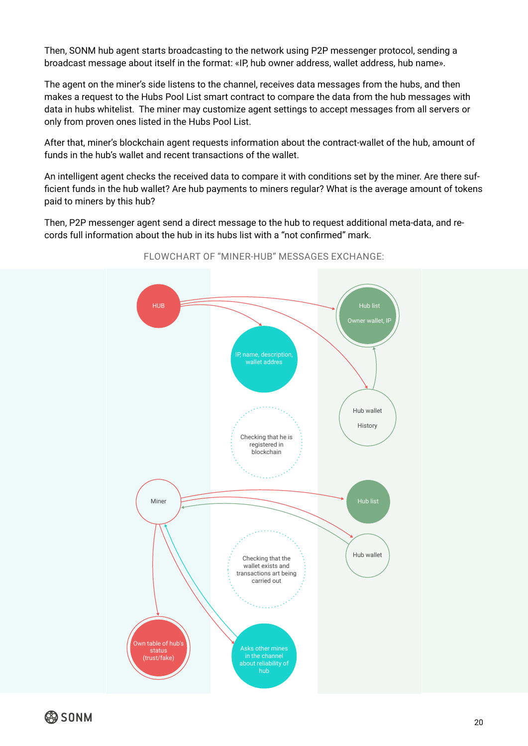Then, SONM hub agent starts broadcasting to the network using P2P messenger protocol, sending a broadcast message about itself in the format: «IP, hub owner address, wallet address, hub name».

The agent on the miner's side listens to the channel, receives data messages from the hubs, and then makes a request to the Hubs Pool List smart contract to compare the data from the hub messages with data in hubs whitelist. The miner may customize agent settings to accept messages from all servers or only from proven ones listed in the Hubs Pool List.

After that, miner's blockchain agent requests information about the contract-wallet of the hub, amount of funds in the hub's wallet and recent transactions of the wallet.

An intelligent agent checks the received data to compare it with conditions set by the miner. Are there sufficient funds in the hub wallet? Are hub payments to miners regular? What is the average amount of tokens paid to miners by this hub?

Then, P2P messenger agent send a direct message to the hub to request additional meta-data, and records full information about the hub in its hubs list with a "not confirmed" mark.



FLOWCHART OF "MINER-HUB" MESSAGES EXCHANGE:

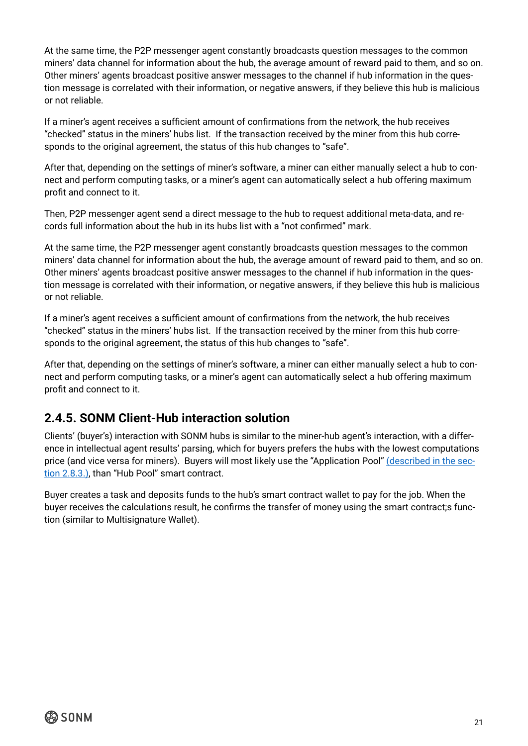<span id="page-20-0"></span>At the same time, the P2P messenger agent constantly broadcasts question messages to the common miners' data channel for information about the hub, the average amount of reward paid to them, and so on. Other miners' agents broadcast positive answer messages to the channel if hub information in the question message is correlated with their information, or negative answers, if they believe this hub is malicious or not reliable.

If a miner's agent receives a sufficient amount of confirmations from the network, the hub receives "checked" status in the miners' hubs list. If the transaction received by the miner from this hub corresponds to the original agreement, the status of this hub changes to "safe".

After that, depending on the settings of miner's software, a miner can either manually select a hub to connect and perform computing tasks, or a miner's agent can automatically select a hub offering maximum profit and connect to it.

Then, P2P messenger agent send a direct message to the hub to request additional meta-data, and records full information about the hub in its hubs list with a "not confirmed" mark.

At the same time, the P2P messenger agent constantly broadcasts question messages to the common miners' data channel for information about the hub, the average amount of reward paid to them, and so on. Other miners' agents broadcast positive answer messages to the channel if hub information in the question message is correlated with their information, or negative answers, if they believe this hub is malicious or not reliable.

If a miner's agent receives a sufficient amount of confirmations from the network, the hub receives "checked" status in the miners' hubs list. If the transaction received by the miner from this hub corresponds to the original agreement, the status of this hub changes to "safe".

After that, depending on the settings of miner's software, a miner can either manually select a hub to connect and perform computing tasks, or a miner's agent can automatically select a hub offering maximum profit and connect to it.

### **2.4.5. SONM Client-Hub interaction solution**

Clients' (buyer's) interaction with SONM hubs is similar to the miner-hub agent's interaction, with a difference in intellectual agent results' parsing, which for buyers prefers the hubs with the lowest computations price (and vice versa for miners). Buyers will most likely use the "Application Pool" [\(described in the sec](#page-28-0)[tion 2.8.3.\),](#page-28-0) than "Hub Pool" smart contract.

Buyer creates a task and deposits funds to the hub's smart contract wallet to pay for the job. When the buyer receives the calculations result, he confirms the transfer of money using the smart contract;s function (similar to Multisignature Wallet).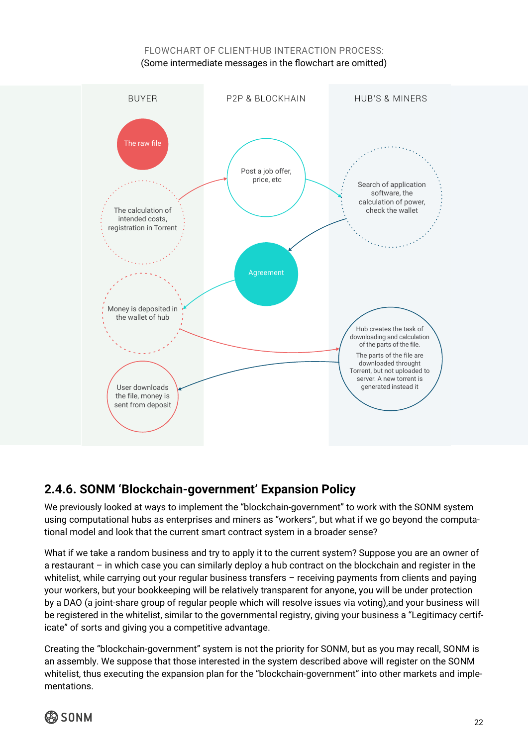### FI OWCHART OF CLIENT-HUB INTERACTION PROCESS: (Some intermediate messages in the flowchart are omitted)

<span id="page-21-0"></span>

### **2.4.6. SONM 'Blockchain-government' Expansion Policy**

We previously looked at ways to implement the "blockchain-government" to work with the SONM system using computational hubs as enterprises and miners as "workers", but what if we go beyond the computational model and look that the current smart contract system in a broader sense?

What if we take a random business and try to apply it to the current system? Suppose you are an owner of a restaurant – in which case you can similarly deploy a hub contract on the blockchain and register in the whitelist, while carrying out your regular business transfers - receiving payments from clients and paying your workers, but your bookkeeping will be relatively transparent for anyone, you will be under protection by a DAO (a joint-share group of regular people which will resolve issues via voting),and your business will be registered in the whitelist, similar to the governmental registry, giving your business a "Legitimacy certificate" of sorts and giving you a competitive advantage.

Creating the "blockchain-government" system is not the priority for SONM, but as you may recall, SONM is an assembly. We suppose that those interested in the system described above will register on the SONM whitelist, thus executing the expansion plan for the "blockchain-government" into other markets and implementations.

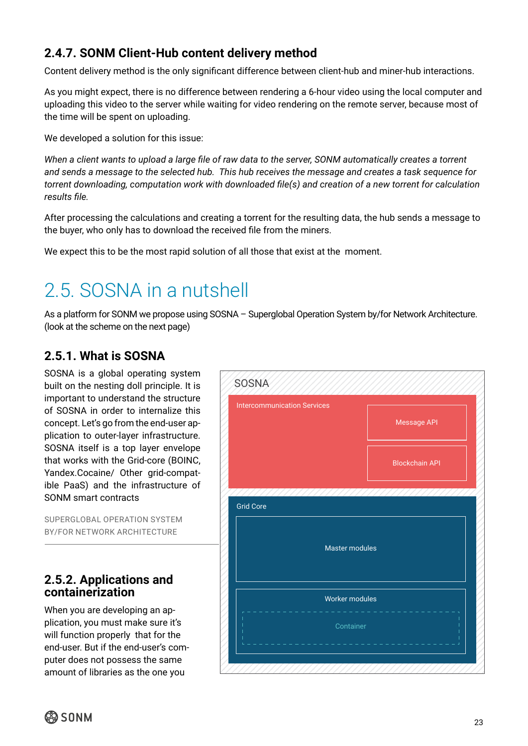### <span id="page-22-0"></span>**2.4.7. SONM Client-Hub content delivery method**

Content delivery method is the only significant difference between client-hub and miner-hub interactions.

As you might expect, there is no difference between rendering a 6-hour video using the local computer and uploading this video to the server while waiting for video rendering on the remote server, because most of the time will be spent on uploading.

We developed a solution for this issue:

*When a client wants to upload a large file of raw data to the server, SONM automatically creates a torrent and sends a message to the selected hub. This hub receives the message and creates a task sequence for torrent downloading, computation work with downloaded file(s) and creation of a new torrent for calculation results file.*

After processing the calculations and creating a torrent for the resulting data, the hub sends a message to the buyer, who only has to download the received file from the miners.

We expect this to be the most rapid solution of all those that exist at the moment.

### 2.5. SOSNA in a nutshell

As a platform for SONM we propose using SOSNA – Superglobal Operation System by/for Network Architecture. (look at the scheme on the next page)

### **2.5.1. What is SOSNA**

SOSNA is a global operating system built on the nesting doll principle. It is important to understand the structure of SOSNA in order to internalize this concept. Let's go from the end-user application to outer-layer infrastructure. SOSNA itself is a top layer envelope that works with the Grid-core (BOINC, Yandex.Cocaine/ Other grid-compatible PaaS) and the infrastructure of SONM smart contracts

SUPERGLOBAL OPERATION SYSTEM BY/FOR NETWORK ARCHITECTURE

### **2.5.2. Applications and containerization**

When you are developing an application, you must make sure it's will function properly that for the end-user. But if the end-user's computer does not possess the same amount of libraries as the one you



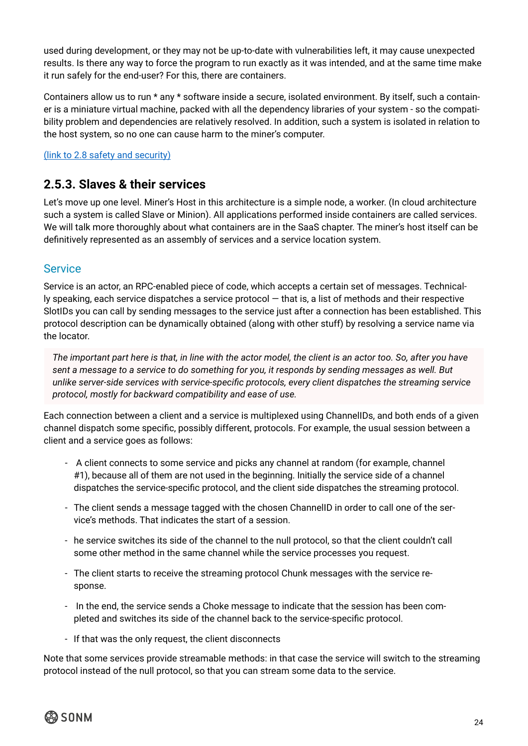<span id="page-23-0"></span>used during development, or they may not be up-to-date with vulnerabilities left, it may cause unexpected results. Is there any way to force the program to run exactly as it was intended, and at the same time make it run safely for the end-user? For this, there are containers.

Containers allow us to run \* any \* software inside a secure, isolated environment. By itself, such a container is a miniature virtual machine, packed with all the dependency libraries of your system - so the compatibility problem and dependencies are relatively resolved. In addition, such a system is isolated in relation to the host system, so no one can cause harm to the miner's computer.

([link to 2.8 safety and security\)](#page-27-0)

### **2.5.3. Slaves & their services**

Let's move up one level. Miner's Host in this architecture is a simple node, a worker. (In cloud architecture such a system is called Slave or Minion). All applications performed inside containers are called services. We will talk more thoroughly about what containers are in the SaaS chapter. The miner's host itself can be definitively represented as an assembly of services and a service location system.

### **Service**

Service is an actor, an RPC-enabled piece of code, which accepts a certain set of messages. Technically speaking, each service dispatches a service protocol — that is, a list of methods and their respective SlotIDs you can call by sending messages to the service just after a connection has been established. This protocol description can be dynamically obtained (along with other stuff) by resolving a service name via the locator.

*The important part here is that, in line with the actor model, the client is an actor too. So, after you have sent a message to a service to do something for you, it responds by sending messages as well. But unlike server-side services with service-specific protocols, every client dispatches the streaming service protocol, mostly for backward compatibility and ease of use.*

Each connection between a client and a service is multiplexed using ChannelIDs, and both ends of a given channel dispatch some specific, possibly different, protocols. For example, the usual session between a client and a service goes as follows:

- A client connects to some service and picks any channel at random (for example, channel #1), because all of them are not used in the beginning. Initially the service side of a channel dispatches the service-specific protocol, and the client side dispatches the streaming protocol.
- The client sends a message tagged with the chosen ChannelID in order to call one of the service's methods. That indicates the start of a session.
- he service switches its side of the channel to the null protocol, so that the client couldn't call some other method in the same channel while the service processes you request.
- The client starts to receive the streaming protocol Chunk messages with the service response.
- In the end, the service sends a Choke message to indicate that the session has been completed and switches its side of the channel back to the service-specific protocol.
- If that was the only request, the client disconnects

Note that some services provide streamable methods: in that case the service will switch to the streaming protocol instead of the null protocol, so that you can stream some data to the service.

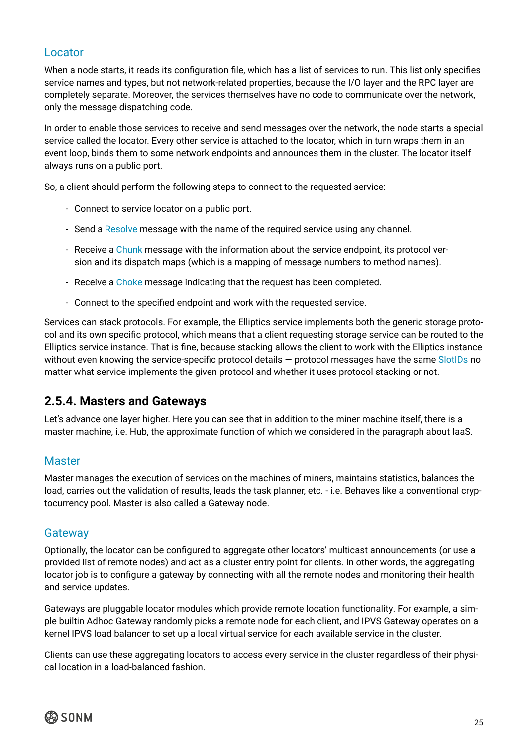### <span id="page-24-0"></span>Locator

When a node starts, it reads its configuration file, which has a list of services to run. This list only specifies service names and types, but not network-related properties, because the I/O layer and the RPC layer are completely separate. Moreover, the services themselves have no code to communicate over the network, only the message dispatching code.

In order to enable those services to receive and send messages over the network, the node starts a special service called the locator. Every other service is attached to the locator, which in turn wraps them in an event loop, binds them to some network endpoints and announces them in the cluster. The locator itself always runs on a public port.

So, a client should perform the following steps to connect to the requested service:

- Connect to service locator on a public port.
- Send a Resolve message with the name of the required service using any channel.
- Receive a Chunk message with the information about the service endpoint, its protocol version and its dispatch maps (which is a mapping of message numbers to method names).
- Receive a Choke message indicating that the request has been completed.
- Connect to the specified endpoint and work with the requested service.

Services can stack protocols. For example, the Elliptics service implements both the generic storage protocol and its own specific protocol, which means that a client requesting storage service can be routed to the Elliptics service instance. That is fine, because stacking allows the client to work with the Elliptics instance without even knowing the service-specific protocol details – protocol messages have the same SlotIDs no matter what service implements the given protocol and whether it uses protocol stacking or not.

### **2.5.4. Masters and Gateways**

Let's advance one layer higher. Here you can see that in addition to the miner machine itself, there is a master machine, i.e. Hub, the approximate function of which we considered in the paragraph about IaaS.

### **Master**

Master manages the execution of services on the machines of miners, maintains statistics, balances the load, carries out the validation of results, leads the task planner, etc. - i.e. Behaves like a conventional cryptocurrency pool. Master is also called a Gateway node.

### **Gateway**

Optionally, the locator can be configured to aggregate other locators' multicast announcements (or use a provided list of remote nodes) and act as a cluster entry point for clients. In other words, the aggregating locator job is to configure a gateway by connecting with all the remote nodes and monitoring their health and service updates.

Gateways are pluggable locator modules which provide remote location functionality. For example, a simple builtin Adhoc Gateway randomly picks a remote node for each client, and IPVS Gateway operates on a kernel IPVS load balancer to set up a local virtual service for each available service in the cluster.

Clients can use these aggregating locators to access every service in the cluster regardless of their physical location in a load-balanced fashion.

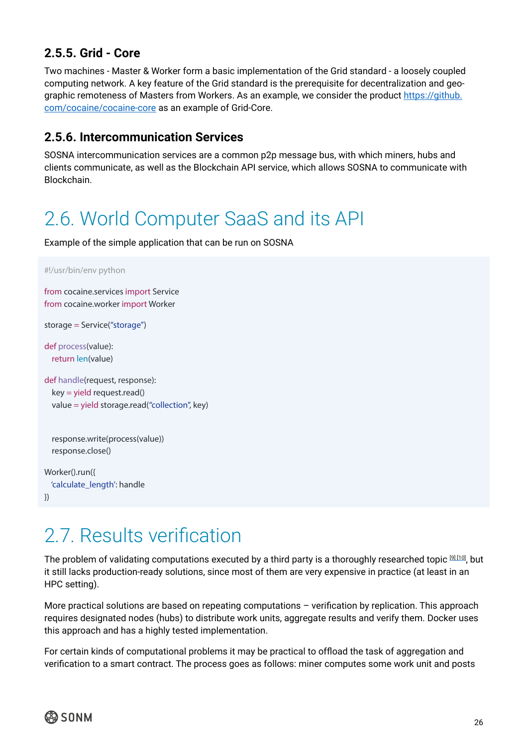### <span id="page-25-0"></span>**2.5.5. Grid - Core**

Two machines - Master & Worker form a basic implementation of the Grid standard - a loosely coupled computing network. A key feature of the Grid standard is the prerequisite for decentralization and geographic remoteness of Masters from Workers. As an example, we consider the product [https://github.](https://github.com/cocaine/cocaine-core) [com/cocaine/cocaine-core](https://github.com/cocaine/cocaine-core) as an example of Grid-Core.

### **2.5.6. Intercommunication Services**

SOSNA intercommunication services are a common p2p message bus, with which miners, hubs and clients communicate, as well as the Blockchain API service, which allows SOSNA to communicate with Blockchain.

### 2.6. World Computer SaaS and its API

Example of the simple application that can be run on SOSNA

#!/usr/bin/env python

```
from cocaine.services import Service 
from cocaine.worker import Worker
```
storage = Service("storage")

def process(value): return len(value)

```
def handle(request, response): 
   key = yield request.read() 
   value = yield storage.read("collection", key)
```

```
 response.write(process(value)) 
 response.close()
```

```
Worker().run({ 
   'calculate_length': handle 
})
```
### 2.7. Results verification

The problem of validating computations executed by a third party is a thoroughly researched topic [9] [10], but it still lacks production-ready solutions, since most of them are very expensive in practice (at least in an HPC setting).

More practical solutions are based on repeating computations – verification by replication. This approach requires designated nodes (hubs) to distribute work units, aggregate results and verify them. Docker uses this approach and has a highly tested implementation.

For certain kinds of computational problems it may be practical to offload the task of aggregation and verification to a smart contract. The process goes as follows: miner computes some work unit and posts

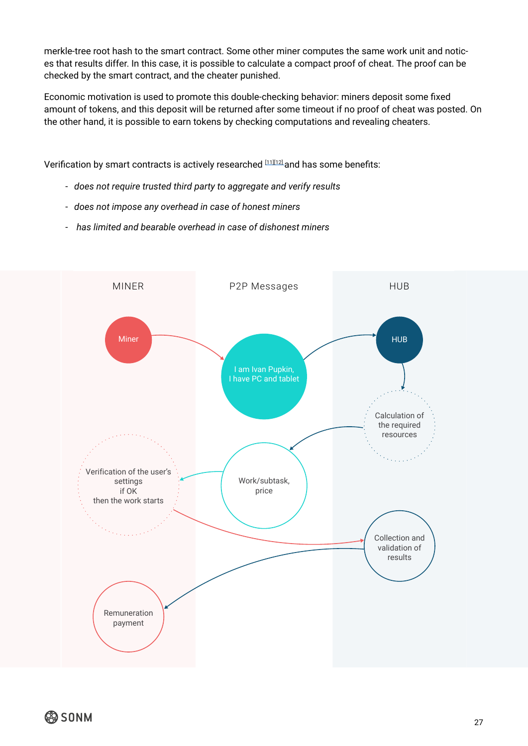merkle-tree root hash to the smart contract. Some other miner computes the same work unit and notices that results differ. In this case, it is possible to calculate a compact proof of cheat. The proof can be checked by the smart contract, and the cheater punished.

Economic motivation is used to promote this double-checking behavior: miners deposit some fixed amount of tokens, and this deposit will be returned after some timeout if no proof of cheat was posted. On the other hand, it is possible to earn tokens by checking computations and revealing cheaters.

Verification by smart contracts is actively researched [11][12] and has some benefits:

- *does not require trusted third party to aggregate and verify results*
- *does not impose any overhead in case of honest miners*
- - *has limited and bearable overhead in case of dishonest miners*

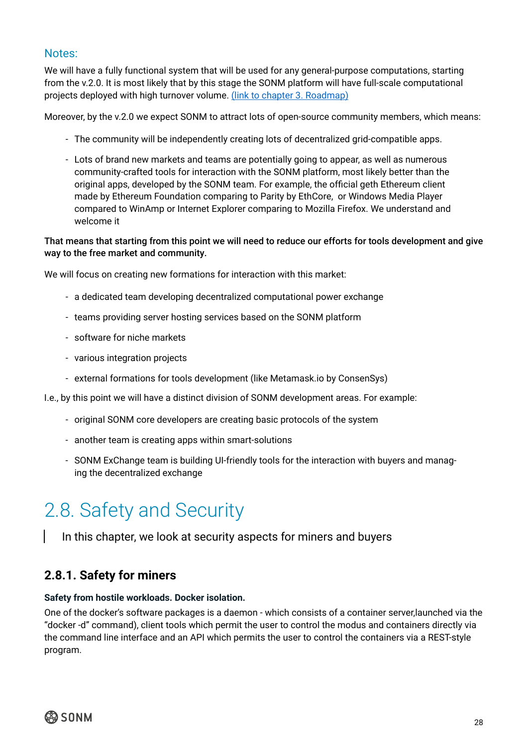### <span id="page-27-0"></span>Notes:

We will have a fully functional system that will be used for any general-purpose computations, starting from the v.2.0. It is most likely that by this stage the SONM platform will have full-scale computational projects deployed with high turnover volume. (link to chapter 3. Roadmap)

Moreover, by the v.2.0 we expect SONM to attract lots of open-source community members, which means:

- The community will be independently creating lots of decentralized grid-compatible apps.
- Lots of brand new markets and teams are potentially going to appear, as well as numerous community-crafted tools for interaction with the SONM platform, most likely better than the original apps, developed by the SONM team. For example, the official geth Ethereum client made by Ethereum Foundation comparing to Parity by EthCore, or Windows Media Player compared to WinAmp or Internet Explorer comparing to Mozilla Firefox. We understand and welcome it

### That means that starting from this point we will need to reduce our efforts for tools development and give way to the free market and community.

We will focus on creating new formations for interaction with this market:

- a dedicated team developing decentralized computational power exchange
- teams providing server hosting services based on the SONM platform
- software for niche markets
- various integration projects
- external formations for tools development (like Metamask.io by ConsenSys)
- I.e., by this point we will have a distinct division of SONM development areas. For example:
	- original SONM core developers are creating basic protocols of the system
	- another team is creating apps within smart-solutions
	- SONM ExChange team is building UI-friendly tools for the interaction with buyers and managing the decentralized exchange

### 2.8. Safety and Security

In this chapter, we look at security aspects for miners and buyers

### **2.8.1. Safety for miners**

### **Safety from hostile workloads. Docker isolation.**

One of the docker's software packages is a daemon - which consists of a container server,launched via the "docker -d" command), client tools which permit the user to control the modus and containers directly via the command line interface and an API which permits the user to control the containers via a REST-style program.

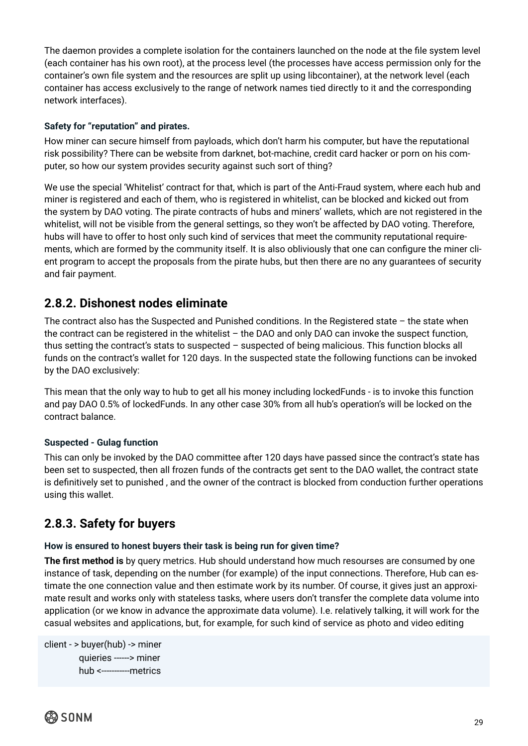<span id="page-28-0"></span>The daemon provides a complete isolation for the containers launched on the node at the file system level (each container has his own root), at the process level (the processes have access permission only for the container's own file system and the resources are split up using libcontainer), at the network level (each container has access exclusively to the range of network names tied directly to it and the corresponding network interfaces).

### **Safety for "reputation" and pirates.**

How miner can secure himself from payloads, which don't harm his computer, but have the reputational risk possibility? There can be website from darknet, bot-machine, credit card hacker or porn on his computer, so how our system provides security against such sort of thing?

We use the special 'Whitelist' contract for that, which is part of the Anti-Fraud system, where each hub and miner is registered and each of them, who is registered in whitelist, can be blocked and kicked out from the system by DAO voting. The pirate contracts of hubs and miners' wallets, which are not registered in the whitelist, will not be visible from the general settings, so they won't be affected by DAO voting. Therefore, hubs will have to offer to host only such kind of services that meet the community reputational requirements, which are formed by the community itself. It is also obliviously that one can configure the miner client program to accept the proposals from the pirate hubs, but then there are no any guarantees of security and fair payment.

### **2.8.2. Dishonest nodes eliminate**

The contract also has the Suspected and Punished conditions. In the Registered state  $-$  the state when the contract can be registered in the whitelist – the DAO and only DAO can invoke the suspect function, thus setting the contract's stats to suspected – suspected of being malicious. This function blocks all funds on the contract's wallet for 120 days. In the suspected state the following functions can be invoked by the DAO exclusively:

This mean that the only way to hub to get all his money including lockedFunds - is to invoke this function and pay DAO 0.5% of lockedFunds. In any other case 30% from all hub's operation's will be locked on the contract balance.

### **Suspected - Gulag function**

This can only be invoked by the DAO committee after 120 days have passed since the contract's state has been set to suspected, then all frozen funds of the contracts get sent to the DAO wallet, the contract state is definitively set to punished , and the owner of the contract is blocked from conduction further operations using this wallet.

### **2.8.3. Safety for buyers**

### **How is ensured to honest buyers their task is being run for given time?**

**The first method is** by query metrics. Hub should understand how much resourses are consumed by one instance of task, depending on the number (for example) of the input connections. Therefore, Hub can estimate the one connection value and then estimate work by its number. Of course, it gives just an approximate result and works only with stateless tasks, where users don't transfer the complete data volume into application (or we know in advance the approximate data volume). I.e. relatively talking, it will work for the casual websites and applications, but, for example, for such kind of service as photo and video editing

```
client - > buyer(hub) -> miner
          quieries ------> miner
          hub <-----------metrics
```
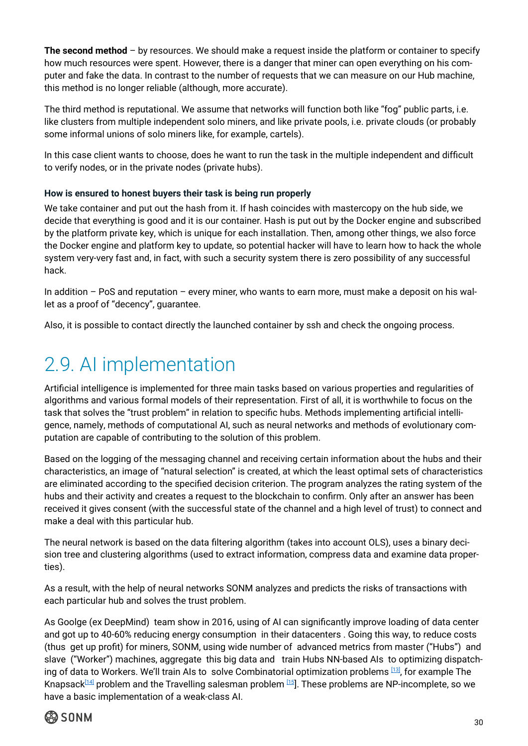<span id="page-29-0"></span>**The second method** – by resources. We should make a request inside the platform or container to specify how much resources were spent. However, there is a danger that miner can open everything on his computer and fake the data. In contrast to the number of requests that we can measure on our Hub machine, this method is no longer reliable (although, more accurate).

The third method is reputational. We assume that networks will function both like "fog" public parts, i.e. like clusters from multiple independent solo miners, and like private pools, i.e. private clouds (or probably some informal unions of solo miners like, for example, cartels).

In this case client wants to choose, does he want to run the task in the multiple independent and difficult to verify nodes, or in the private nodes (private hubs).

### **How is ensured to honest buyers their task is being run properly**

We take container and put out the hash from it. If hash coincides with mastercopy on the hub side, we decide that everything is good and it is our container. Hash is put out by the Docker engine and subscribed by the platform private key, which is unique for each installation. Then, among other things, we also force the Docker engine and platform key to update, so potential hacker will have to learn how to hack the whole system very-very fast and, in fact, with such a security system there is zero possibility of any successful hack.

In addition – PoS and reputation – every miner, who wants to earn more, must make a deposit on his wallet as a proof of "decency", guarantee.

Also, it is possible to contact directly the launched container by ssh and check the ongoing process.

### 2.9. AI implementation

Artificial intelligence is implemented for three main tasks based on various properties and regularities of algorithms and various formal models of their representation. First of all, it is worthwhile to focus on the task that solves the "trust problem" in relation to specific hubs. Methods implementing artificial intelligence, namely, methods of computational AI, such as neural networks and methods of evolutionary computation are capable of contributing to the solution of this problem.

Based on the logging of the messaging channel and receiving certain information about the hubs and their characteristics, an image of "natural selection" is created, at which the least optimal sets of characteristics are eliminated according to the specified decision criterion. The program analyzes the rating system of the hubs and their activity and creates a request to the blockchain to confirm. Only after an answer has been received it gives consent (with the successful state of the channel and a high level of trust) to connect and make a deal with this particular hub.

The neural network is based on the data filtering algorithm (takes into account OLS), uses a binary decision tree and clustering algorithms (used to extract information, compress data and examine data properties).

As a result, with the help of neural networks SONM analyzes and predicts the risks of transactions with each particular hub and solves the trust problem.

As Goolge (ex DeepMind) team show in 2016, using of AI can significantly improve loading of data center and got up to 40-60% reducing energy consumption in their datacenters . Going this way, to reduce costs (thus get up profit) for miners, SONM, using wide number of advanced metrics from master ("Hubs") and slave ("Worker") machines, aggregate this big data and train Hubs NN-based AIs to optimizing dispatching of data to Workers. We'll train AIs to solve Combinatorial optimization problems [\[13\]](https://en.wikipedia.org/wiki/Combinatorial_optimization), for example The Knapsack<sup>[\[14\]](https://en.wikipedia.org/wiki/Knapsack_problem)</sup> problem and the Travelling salesman problem  $15$ ]. These problems are NP-incomplete, so we have a basic implementation of a weak-class AI.

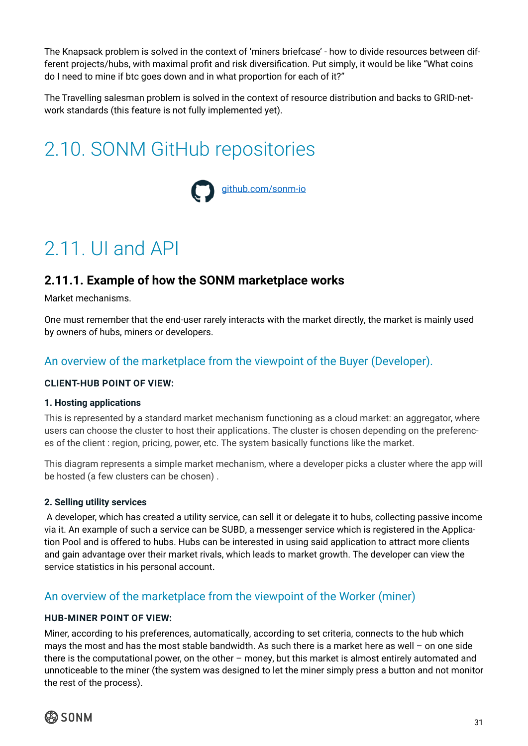<span id="page-30-0"></span>The Knapsack problem is solved in the context of 'miners briefcase' - how to divide resources between different projects/hubs, with maximal profit and risk diversification. Put simply, it would be like "What coins do I need to mine if btc goes down and in what proportion for each of it?"

The Travelling salesman problem is solved in the context of resource distribution and backs to GRID-network standards (this feature is not fully implemented yet).

### 2.10. SONM GitHub repositories



### 2.11. UI and API

### **2.11.1. Example of how the SONM marketplace works**

Market mechanisms.

One must remember that the end-user rarely interacts with the market directly, the market is mainly used by owners of hubs, miners or developers.

### An overview of the marketplace from the viewpoint of the Buyer (Developer).

### **CLIENT-HUB POINT OF VIEW:**

### **1. Hosting applications**

This is represented by a standard market mechanism functioning as a cloud market: an aggregator, where users can choose the cluster to host their applications. The cluster is chosen depending on the preferences of the client : region, pricing, power, etc. The system basically functions like the market.

This diagram represents a simple market mechanism, where a developer picks a cluster where the app will be hosted (a few clusters can be chosen) .

### **2. Selling utility services**

 A developer, which has created a utility service, can sell it or delegate it to hubs, collecting passive income via it. An example of such a service can be SUBD, a messenger service which is registered in the Application Pool and is offered to hubs. Hubs can be interested in using said application to attract more clients and gain advantage over their market rivals, which leads to market growth. The developer can view the service statistics in his personal account.

### An overview of the marketplace from the viewpoint of the Worker (miner)

### **HUB-MINER POINT OF VIEW:**

Miner, according to his preferences, automatically, according to set criteria, connects to the hub which mays the most and has the most stable bandwidth. As such there is a market here as well – on one side there is the computational power, on the other – money, but this market is almost entirely automated and unnoticeable to the miner (the system was designed to let the miner simply press a button and not monitor the rest of the process).

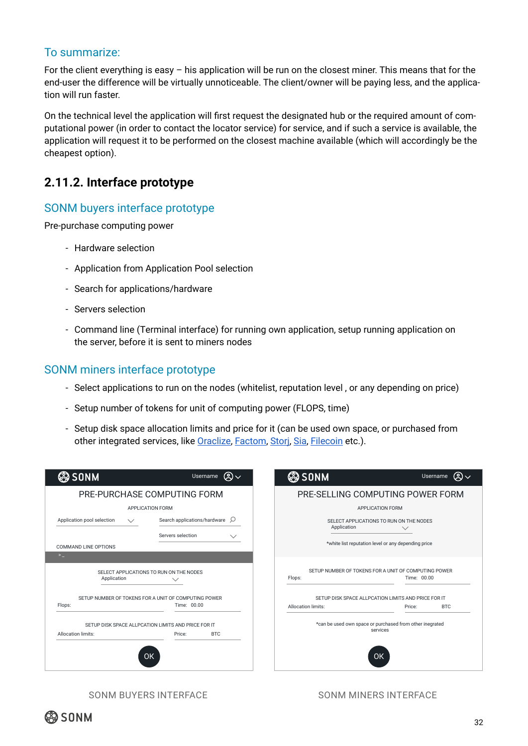### <span id="page-31-0"></span>To summarize:

For the client everything is easy – his application will be run on the closest miner. This means that for the end-user the difference will be virtually unnoticeable. The client/owner will be paying less, and the application will run faster.

On the technical level the application will first request the designated hub or the required amount of computational power (in order to contact the locator service) for service, and if such a service is available, the application will request it to be performed on the closest machine available (which will accordingly be the cheapest option).

### **2.11.2. Interface prototype**

### SONM buyers interface prototype

Pre-purchase computing power

- Hardware selection
- Application from Application Pool selection
- Search for applications/hardware
- Servers selection
- Command line (Terminal interface) for running own application, setup running application on the server, before it is sent to miners nodes

### SONM miners interface prototype

- Select applications to run on the nodes (whitelist, reputation level , or any depending on price)
- Setup number of tokens for unit of computing power (FLOPS, time)
- Setup disk space allocation limits and price for it (can be used own space, or purchased from other integrated services, like [Oraclize](http://www.oraclize.it/), [Factom](https://www.factom.com/), Stori, [Sia,](https://sia.tech/) [Filecoin](http://filecoin.io/) etc.).

| <b>@SONM</b>                                                                                      | இ $\vee$<br>Username                       | <b>@SONM</b>                                                                  | இ√<br>Username                                          |  |
|---------------------------------------------------------------------------------------------------|--------------------------------------------|-------------------------------------------------------------------------------|---------------------------------------------------------|--|
| PRE-PURCHASE COMPUTING FORM                                                                       |                                            | PRE-SELLING COMPUTING POWER FORM                                              |                                                         |  |
| <b>APPLICATION FORM</b>                                                                           |                                            | <b>APPLICATION FORM</b>                                                       |                                                         |  |
| Application pool selection<br>$\checkmark$                                                        | Search applications/hardware $\varnothing$ | Application                                                                   | SELECT APPLICATIONS TO RUN ON THE NODES<br>$\checkmark$ |  |
| Servers selection<br><b>COMMAND LINE OPTIONS</b><br>$\geq$ $\_$                                   | $\checkmark$                               |                                                                               | *white list reputation level or any depending price     |  |
| SELECT APPLICATIONS TO RUN ON THE NODES<br>Application                                            |                                            | SETUP NUMBER OF TOKENS FOR A UNIT OF COMPUTING POWER<br>Time: 00.00<br>Flops: |                                                         |  |
| SETUP NUMBER OF TOKENS FOR A UNIT OF COMPUTING POWER                                              |                                            | SETUP DISK SPACE ALLPCATION LIMITS AND PRICE FOR IT                           |                                                         |  |
| Flops:                                                                                            | Time: 00.00                                | Allocation limits:                                                            | <b>BTC</b><br>Price:                                    |  |
| SETUP DISK SPACE ALLPCATION LIMITS AND PRICE FOR IT<br>Allocation limits:<br><b>BTC</b><br>Price: |                                            | *can be used own space or purchased from other inegrated<br>services          |                                                         |  |
| <b>OK</b>                                                                                         |                                            |                                                                               | OK                                                      |  |

SONM BUYERS INTERFACE SONM MINERS INTERFACE

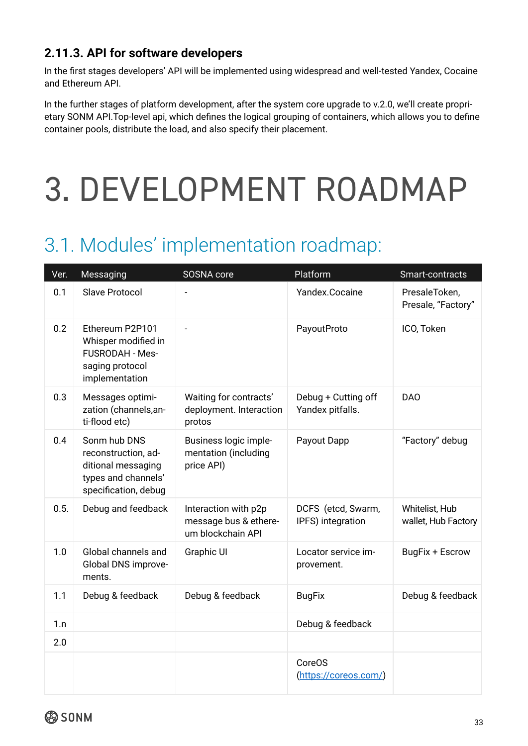### <span id="page-32-0"></span>**2.11.3. API for software developers**

In the first stages developers' API will be implemented using widespread and well-tested Yandex, Cocaine and Ethereum API.

In the further stages of platform development, after the system core upgrade to v.2.0, we'll create proprietary SONM API.Top-level api, which defines the logical grouping of containers, which allows you to define container pools, distribute the load, and also specify their placement.

# 3. DEVELOPMENT ROADMAP

### 3.1. Modules' implementation roadmap:

| Ver. | Messaging                                                                                                | SOSNA core                                                         | Platform                                | Smart-contracts                       |
|------|----------------------------------------------------------------------------------------------------------|--------------------------------------------------------------------|-----------------------------------------|---------------------------------------|
| 0.1  | <b>Slave Protocol</b>                                                                                    |                                                                    | Yandex.Cocaine                          | PresaleToken,<br>Presale, "Factory"   |
| 0.2  | Ethereum P2P101<br>Whisper modified in<br><b>FUSRODAH - Mes-</b><br>saging protocol<br>implementation    |                                                                    | PayoutProto                             | ICO, Token                            |
| 0.3  | Messages optimi-<br>zation (channels, an-<br>ti-flood etc)                                               | Waiting for contracts'<br>deployment. Interaction<br>protos        | Debug + Cutting off<br>Yandex pitfalls. | <b>DAO</b>                            |
| 0.4  | Sonm hub DNS<br>reconstruction, ad-<br>ditional messaging<br>types and channels'<br>specification, debug | Business logic imple-<br>mentation (including<br>price API)        | Payout Dapp                             | "Factory" debug                       |
| 0.5. | Debug and feedback                                                                                       | Interaction with p2p<br>message bus & ethere-<br>um blockchain API | DCFS (etcd, Swarm,<br>IPFS) integration | Whitelist, Hub<br>wallet, Hub Factory |
| 1.0  | Global channels and<br>Global DNS improve-<br>ments.                                                     | Graphic UI                                                         | Locator service im-<br>provement.       | BugFix + Escrow                       |
| 1.1  | Debug & feedback                                                                                         | Debug & feedback                                                   | <b>BugFix</b>                           | Debug & feedback                      |
| 1.n  |                                                                                                          |                                                                    | Debug & feedback                        |                                       |
| 2.0  |                                                                                                          |                                                                    |                                         |                                       |
|      |                                                                                                          |                                                                    | <b>CoreOS</b><br>(https://coreos.com/)  |                                       |

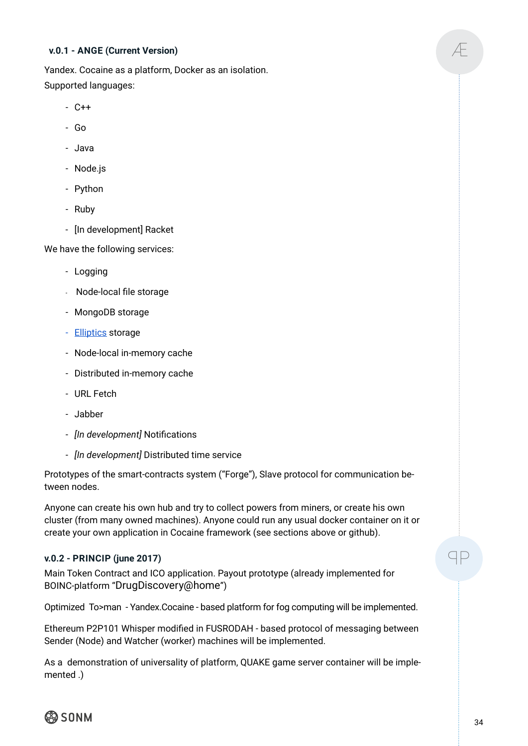### **v.0.1 - ANGE (Current Version)**

Yandex. Cocaine as a platform, Docker as an isolation. Supported languages:

- C++
- Go
- Java
- Node.js
- Python
- Ruby
- [In development] Racket

We have the following services:

- Logging
- Node-local file storage
- MongoDB storage
- - [Elliptics](https://github.com/reverbrain/elliptics) storage
- Node-local in-memory cache
- Distributed in-memory cache
- URL Fetch
- Jabber
- *[In development]* Notifications
- *[In development]* Distributed time service

Prototypes of the smart-contracts system ("Forge"), Slave protocol for communication between nodes.

Anyone can create his own hub and try to collect powers from miners, or create his own cluster (from many owned machines). Anyone could run any usual docker container on it or create your own application in Cocaine framework (see sections above or github).

### **v.0.2 - PRINCIP (june 2017)**

Main Token Contract and ICO application. Payout prototype (already implemented for BOINC-platform "[DrugDiscovery@home](mailto:DrugDiscovery@home.com)")

Optimized To>man - Yandex.Cocaine - based platform for fog computing will be implemented.

Ethereum P2P101 Whisper modified in FUSRODAH - based protocol of messaging between Sender (Node) and Watcher (worker) machines will be implemented.

As a demonstration of universality of platform, QUAKE game server container will be implemented .)

@ SONM

ꟼP

Ӕ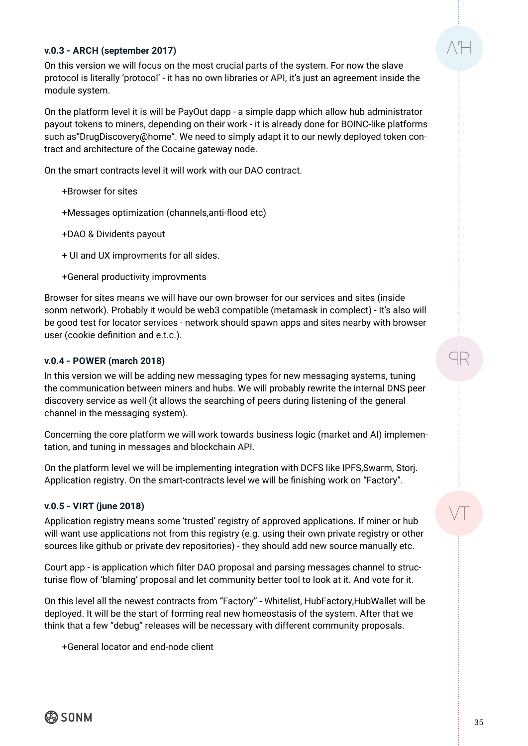#### **v.0.3 - ARCH (september 2017)**

On this version we will focus on the most crucial parts of the system. For now the slave protocol is literally 'protocol' - it has no own libraries or API, it's just an agreement inside the module system.

On the platform level it is will be PayOut dapp - a simple dapp which allow hub administrator payout tokens to miners, depending on their work - it is already done for BOINC-like platforms such as"DrugDiscovery@home". We need to simply adapt it to our newly deployed token contract and architecture of the Cocaine gateway node.

On the smart contracts level it will work with our DAO contract.

- +Browser for sites
- +Messages optimization (channels,anti-flood etc)
- +DAO & Dividents payout
- + UI and UX improvments for all sides.
- +General productivity improvments

Browser for sites means we will have our own browser for our services and sites (inside sonm network). Probably it would be web3 compatible (metamask in complect) - It's also will be good test for locator services - network should spawn apps and sites nearby with browser user (cookie definition and e.t.c.).

#### **v.0.4 - POWER (march 2018)**

In this version we will be adding new messaging types for new messaging systems, tuning the communication between miners and hubs. We will probably rewrite the internal DNS peer discovery service as well (it allows the searching of peers during listening of the general channel in the messaging system).

Concerning the core platform we will work towards business logic (market and AI) implementation, and tuning in messages and blockchain API.

On the platform level we will be implementing integration with DCFS like IPFS,Swarm, Storj. Application registry. On the smart-contracts level we will be finishing work on "Factory".

#### **v.0.5 - VIRT (june 2018)**

Application registry means some 'trusted' registry of approved applications. If miner or hub will want use applications not from this registry (e.g. using their own private registry or other sources like github or private dev repositories) - they should add new source manually etc.

Court app - is application which filter DAO proposal and parsing messages channel to structurise flow of 'blaming' proposal and let community better tool to look at it. And vote for it.

On this level all the newest contracts from "Factory" - Whitelist, HubFactory,HubWallet will be deployed. It will be the start of forming real new homeostasis of the system. After that we think that a few "debug" releases will be necessary with different community proposals.

+General locator and end-node client

 $A$  $H$ 

9R

VT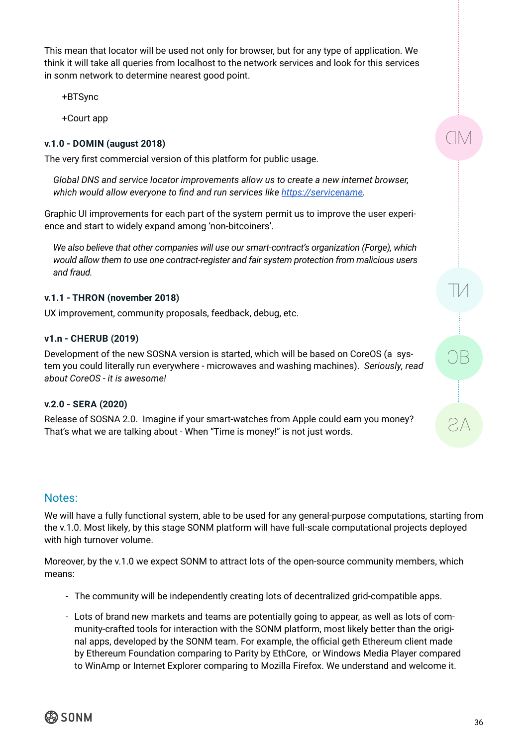This mean that locator will be used not only for browser, but for any type of application. We think it will take all queries from localhost to the network services and look for this services in sonm network to determine nearest good point.

+BTSync

+Court app

### **v.1.0 - DOMIN (august 2018)**

The very first commercial version of this platform for public usage.

*Global DNS and service locator improvements allow us to create a new internet browser, which would allow everyone to find and run services like [https://servicename](https://servicename/).*

Graphic UI improvements for each part of the system permit us to improve the user experience and start to widely expand among 'non-bitcoiners'.

*We also believe that other companies will use our smart-contract's organization (Forge), which would allow them to use one contract-register and fair system protection from malicious users and fraud.*

### **v.1.1 - THRON (november 2018)**

UX improvement, community proposals, feedback, debug, etc.

### **v1.n - CHERUB (2019)**

Development of the new SOSNA version is started, which will be based on CoreOS (a system you could literally run everywhere - microwaves and washing machines). *Seriously, read about CoreOS - it is awesome!*

### **v.2.0 - SERA (2020)**

Release of SOSNA 2.0. Imagine if your smart-watches from Apple could earn you money? That's what we are talking about - When "Time is money!" is not just words.

### Notes:

We will have a fully functional system, able to be used for any general-purpose computations, starting from the v.1.0. Most likely, by this stage SONM platform will have full-scale computational projects deployed with high turnover volume.

Moreover, by the v.1.0 we expect SONM to attract lots of the open-source community members, which means:

- The community will be independently creating lots of decentralized grid-compatible apps.
- Lots of brand new markets and teams are potentially going to appear, as well as lots of community-crafted tools for interaction with the SONM platform, most likely better than the original apps, developed by the SONM team. For example, the official geth Ethereum client made by Ethereum Foundation comparing to Parity by EthCore, or Windows Media Player compared to WinAmp or Internet Explorer comparing to Mozilla Firefox. We understand and welcome it.



 $\Box$ 

TM

)B

AS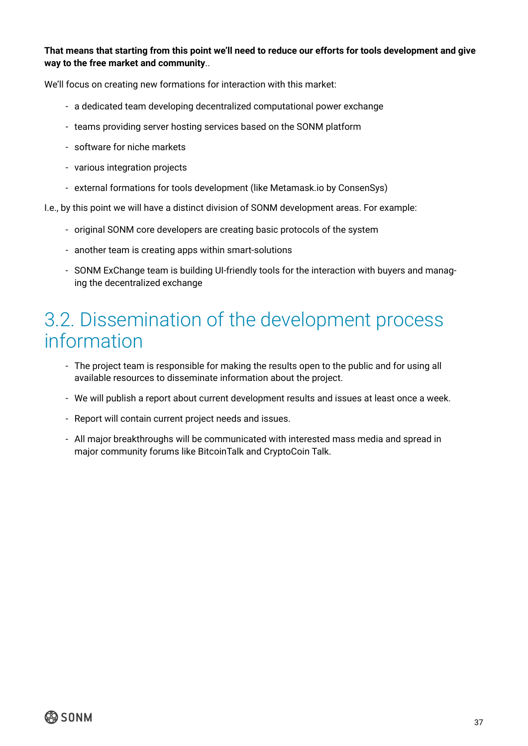### <span id="page-36-0"></span>**That means that starting from this point we'll need to reduce our efforts for tools development and give way to the free market and community**..

We'll focus on creating new formations for interaction with this market:

- a dedicated team developing decentralized computational power exchange
- teams providing server hosting services based on the SONM platform
- software for niche markets
- various integration projects
- external formations for tools development (like Metamask.io by ConsenSys)
- I.e., by this point we will have a distinct division of SONM development areas. For example:
	- original SONM core developers are creating basic protocols of the system
	- another team is creating apps within smart-solutions
	- SONM ExChange team is building UI-friendly tools for the interaction with buyers and managing the decentralized exchange

### 3.2. Dissemination of the development process information

- The project team is responsible for making the results open to the public and for using all available resources to disseminate information about the project.
- We will publish a report about current development results and issues at least once a week.
- Report will contain current project needs and issues.
- All major breakthroughs will be communicated with interested mass media and spread in major community forums like BitcoinTalk and CryptoCoin Talk.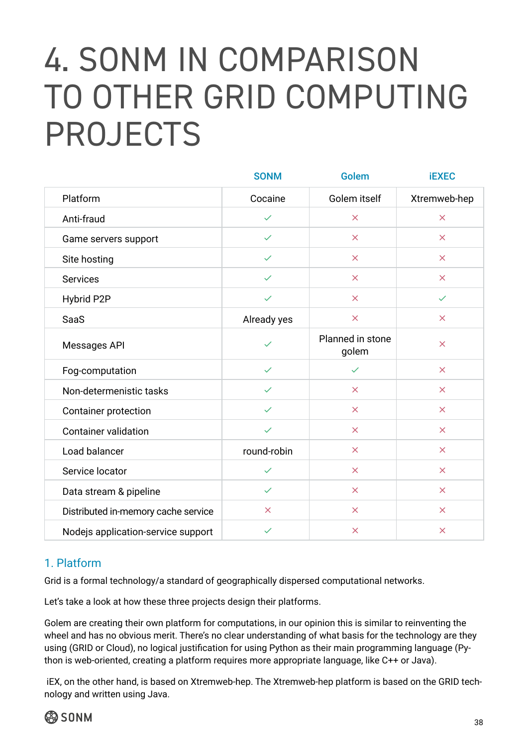# <span id="page-37-0"></span>4. SONM IN COMPARISON TO OTHER GRID COMPUTING PROJECTS

|                                     | <b>SONM</b>  | <b>Golem</b>              | <b>iEXEC</b>          |
|-------------------------------------|--------------|---------------------------|-----------------------|
| Platform                            | Cocaine      | Golem itself              | Xtremweb-hep          |
| Anti-fraud                          | $\checkmark$ | $\overline{\mathsf{x}}$   | $\boldsymbol{\times}$ |
| Game servers support                | $\checkmark$ | $\times$                  | $\boldsymbol{\times}$ |
| Site hosting                        | $\checkmark$ | $\times$                  | $\boldsymbol{\times}$ |
| <b>Services</b>                     | $\checkmark$ | $\times$                  | $\boldsymbol{\times}$ |
| Hybrid P2P                          | $\checkmark$ | $\times$                  | $\checkmark$          |
| <b>SaaS</b>                         | Already yes  | $\times$                  | $\times$              |
| Messages API                        | $\checkmark$ | Planned in stone<br>golem | $\times$              |
| Fog-computation                     | $\checkmark$ | $\checkmark$              | $\times$              |
| Non-determenistic tasks             | $\checkmark$ | $\overline{\mathsf{x}}$   | $\times$              |
| <b>Container protection</b>         | $\checkmark$ | $\times$                  | $\times$              |
| <b>Container validation</b>         | $\checkmark$ | $\times$                  | $\times$              |
| Load balancer                       | round-robin  | $\times$                  | $\pmb{\times}$        |
| Service locator                     | $\checkmark$ | $\boldsymbol{\times}$     | $\pmb{\times}$        |
| Data stream & pipeline              | $\checkmark$ | $\times$                  | $\times$              |
| Distributed in-memory cache service | $\times$     | $\times$                  | $\times$              |
| Nodejs application-service support  | $\checkmark$ | $\times$                  | $\times$              |

### 1. Platform

Grid is a formal technology/a standard of geographically dispersed computational networks.

Let's take a look at how these three projects design their platforms.

Golem are creating their own platform for computations, in our opinion this is similar to reinventing the wheel and has no obvious merit. There's no clear understanding of what basis for the technology are they using (GRID or Cloud), no logical justification for using Python as their main programming language (Python is web-oriented, creating a platform requires more appropriate language, like C++ or Java).

 iEX, on the other hand, is based on Xtremweb-hep. The Xtremweb-hep platform is based on the GRID technology and written using Java.

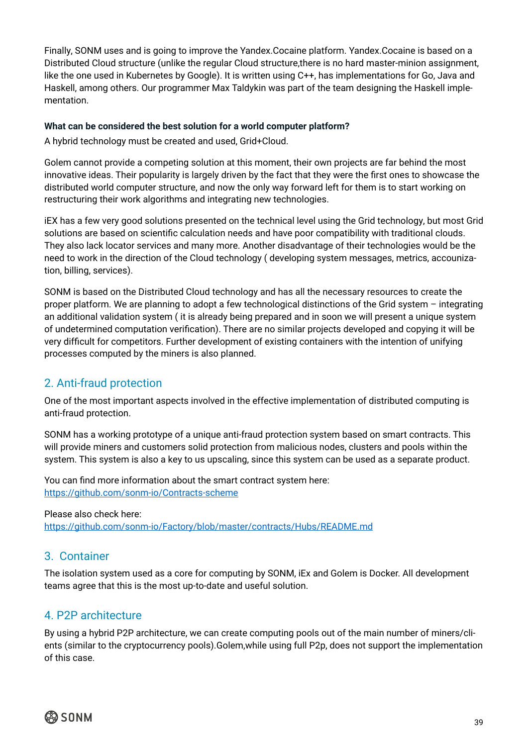Finally, SONM uses and is going to improve the Yandex.Cocaine platform. Yandex.Cocaine is based on a Distributed Cloud structure (unlike the regular Cloud structure,there is no hard master-minion assignment, like the one used in Kubernetes by Google). It is written using C++, has implementations for Go, Java and Haskell, among others. Our programmer Max Taldykin was part of the team designing the Haskell implementation.

### **What can be considered the best solution for a world computer platform?**

A hybrid technology must be created and used, Grid+Cloud.

Golem cannot provide a competing solution at this moment, their own projects are far behind the most innovative ideas. Their popularity is largely driven by the fact that they were the first ones to showcase the distributed world computer structure, and now the only way forward left for them is to start working on restructuring their work algorithms and integrating new technologies.

iEX has a few very good solutions presented on the technical level using the Grid technology, but most Grid solutions are based on scientific calculation needs and have poor compatibility with traditional clouds. They also lack locator services and many more. Another disadvantage of their technologies would be the need to work in the direction of the Cloud technology ( developing system messages, metrics, accounization, billing, services).

SONM is based on the Distributed Cloud technology and has all the necessary resources to create the proper platform. We are planning to adopt a few technological distinctions of the Grid system – integrating an additional validation system ( it is already being prepared and in soon we will present a unique system of undetermined computation verification). There are no similar projects developed and copying it will be very difficult for competitors. Further development of existing containers with the intention of unifying processes computed by the miners is also planned.

### 2. Anti-fraud protection

One of the most important aspects involved in the effective implementation of distributed computing is anti-fraud protection.

SONM has a working prototype of a unique anti-fraud protection system based on smart contracts. This will provide miners and customers solid protection from malicious nodes, clusters and pools within the system. This system is also a key to us upscaling, since this system can be used as a separate product.

You can find more information about the smart contract system here: [https://github.com/sonm-io/Contracts-scheme](https://github.com/sonm-io/Contracts-scheme )

#### Please also check here:

[https://github.com/sonm-io/Factory/blob/master/contracts/Hubs/README.md](https://github.com/sonm-io/Factory/blob/master/contracts/Hubs/README.md )

### 3. Container

The isolation system used as a core for computing by SONM, iEx and Golem is Docker. All development teams agree that this is the most up-to-date and useful solution.

### 4. P2P architecture

By using a hybrid P2P architecture, we can create computing pools out of the main number of miners/clients (similar to the cryptocurrency pools).Golem,while using full P2p, does not support the implementation of this case.

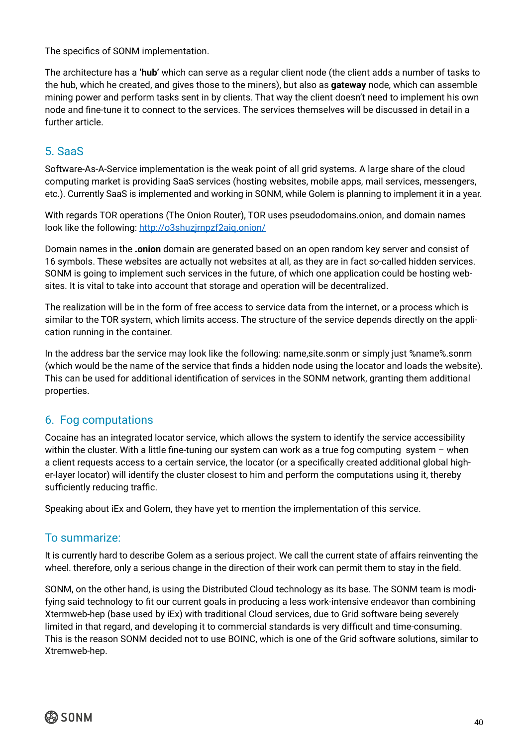The specifics of SONM implementation.

The architecture has a **'hub'** which can serve as a regular client node (the client adds a number of tasks to the hub, which he created, and gives those to the miners), but also as **gateway** node, which can assemble mining power and perform tasks sent in by clients. That way the client doesn't need to implement his own node and fine-tune it to connect to the services. The services themselves will be discussed in detail in a further article.

### 5. SaaS

Software-As-A-Service implementation is the weak point of all grid systems. A large share of the cloud computing market is providing SaaS services (hosting websites, mobile apps, mail services, messengers, etc.). Currently SaaS is implemented and working in SONM, while Golem is planning to implement it in a year.

With regards TOR operations (The Onion Router), TOR uses pseudodomains.onion, and domain names look like the following:<http://o3shuzjrnpzf2aiq.onion/>

Domain names in the **.onion** domain are generated based on an open random key server and consist of 16 symbols. These websites are actually not websites at all, as they are in fact so-called hidden services. SONM is going to implement such services in the future, of which one application could be hosting websites. It is vital to take into account that storage and operation will be decentralized.

The realization will be in the form of free access to service data from the internet, or a process which is similar to the TOR system, which limits access. The structure of the service depends directly on the application running in the container.

In the address bar the service may look like the following: name,site.sonm or simply just %name%.sonm (which would be the name of the service that finds a hidden node using the locator and loads the website). This can be used for additional identification of services in the SONM network, granting them additional properties.

### 6. Fog computations

Cocaine has an integrated locator service, which allows the system to identify the service accessibility within the cluster. With a little fine-tuning our system can work as a true fog computing system - when a client requests access to a certain service, the locator (or a specifically created additional global higher-layer locator) will identify the cluster closest to him and perform the computations using it, thereby sufficiently reducing traffic.

Speaking about iEx and Golem, they have yet to mention the implementation of this service.

### To summarize:

It is currently hard to describe Golem as a serious project. We call the current state of affairs reinventing the wheel. therefore, only a serious change in the direction of their work can permit them to stay in the field.

SONM, on the other hand, is using the Distributed Cloud technology as its base. The SONM team is modifying said technology to fit our current goals in producing a less work-intensive endeavor than combining Xtermweb-hep (base used by iEx) with traditional Cloud services, due to Grid software being severely limited in that regard, and developing it to commercial standards is very difficult and time-consuming. This is the reason SONM decided not to use BOINC, which is one of the Grid software solutions, similar to Xtremweb-hep.

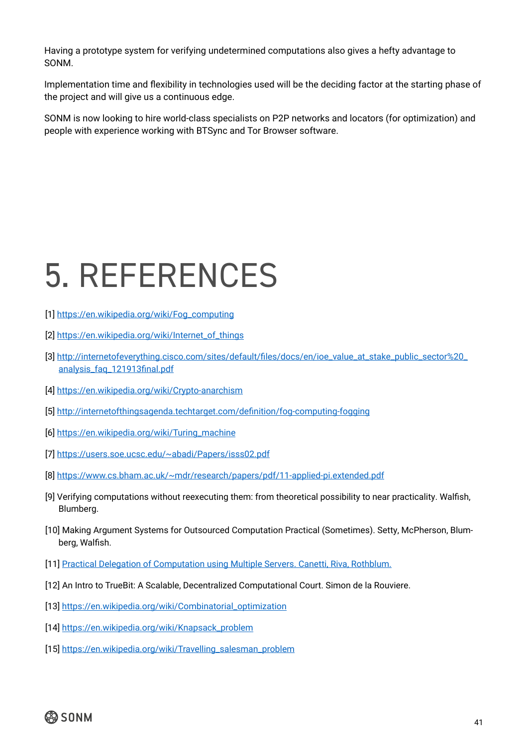<span id="page-40-0"></span>Having a prototype system for verifying undetermined computations also gives a hefty advantage to SONM.

Implementation time and flexibility in technologies used will be the deciding factor at the starting phase of the project and will give us a continuous edge.

SONM is now looking to hire world-class specialists on P2P networks and locators (for optimization) and people with experience working with BTSync and Tor Browser software.

# 5. REFERENCES

- [1] [https://en.wikipedia.org/wiki/Fog\\_computing](https://en.wikipedia.org/wiki/Fog_computing)
- [2] [https://en.wikipedia.org/wiki/Internet\\_of\\_things](https://en.wikipedia.org/wiki/Internet_of_things)
- [3] [http://internetofeverything.cisco.com/sites/default/files/docs/en/ioe\\_value\\_at\\_stake\\_public\\_sector](http://internetofeverything.cisco.com/sites/default/files/docs/en/ioe_value_at_stake_public_sector)%[20\\_](http://20_analysis_faq_121913final.pdf) [analysis\\_faq\\_121913final.pdf](http://20_analysis_faq_121913final.pdf)
- [4]<https://en.wikipedia.org/wiki/Crypto>-anarchism
- [5] <http://internetofthingsagenda.techtarget.com/definition/fog>-computing-fogging
- [6] [https://en.wikipedia.org/wiki/Turing\\_machine](https://en.wikipedia.org/wiki/Turing_machine)
- [7]<https://users.soe.ucsc.edu/~abadi/Papers/isss02.pdf>
- [8]<https://www.cs.bham.ac.uk/~mdr/research/papers/pdf/11-applied-pi.extended.pdf>
- [9] Verifying computations without reexecuting them: from theoretical possibility to near practicality. Walfish, Blumberg.
- [10] Making Argument Systems for Outsourced Computation Practical (Sometimes). Setty, McPherson, Blumberg, Walfish.
- [11] Practical Delegation of Computation using Multiple Servers. Canetti, Riva, Rothblum.
- [12] An Intro to TrueBit: A Scalable, Decentralized Computational Court. Simon de la Rouviere.
- [13] [https://en.wikipedia.org/wiki/Combinatorial\\_optimization](https://en.wikipedia.org/wiki/Combinatorial_optimization)
- [14] [https://en.wikipedia.org/wiki/Knapsack\\_problem](https://en.wikipedia.org/wiki/Knapsack_problem)
- [15] [https://en.wikipedia.org/wiki/Travelling\\_salesman\\_problem](https://en.wikipedia.org/wiki/Travelling_salesman_problem)